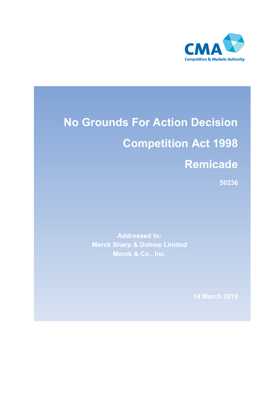

# **No Grounds For Action Decision Competition Act 1998 Remicade**

**50236**

**Addressed to: Merck Sharp & Dohme Limited Merck & Co., Inc.**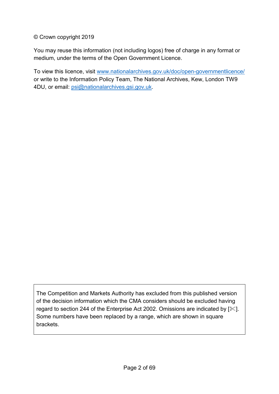© Crown copyright 2019

You may reuse this information (not including logos) free of charge in any format or medium, under the terms of the Open Government Licence.

To view this licence, visit [www.nationalarchives.gov.uk/doc/open-governmentlicence/](http://www.nationalarchives.gov.uk/doc/open-governmentlicence/) or write to the Information Policy Team, The National Archives, Kew, London TW9 4DU, or email: [psi@nationalarchives.gsi.gov.uk.](mailto:psi@nationalarchives.gsi.gov.uk)

The Competition and Markets Authority has excluded from this published version of the decision information which the CMA considers should be excluded having regard to section 244 of the Enterprise Act 2002. Omissions are indicated by  $[\mathcal{K}]$ . Some numbers have been replaced by a range, which are shown in square brackets.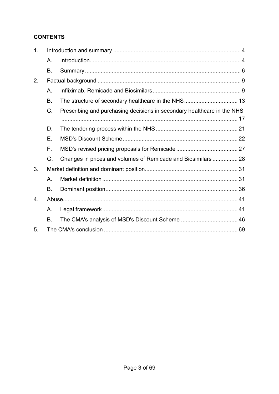## **CONTENTS**

| 1. |                |                                                                         |  |
|----|----------------|-------------------------------------------------------------------------|--|
|    | Α.             |                                                                         |  |
|    | Β.             |                                                                         |  |
| 2. |                |                                                                         |  |
|    | Α.             |                                                                         |  |
|    | Β.             |                                                                         |  |
|    | C.             | Prescribing and purchasing decisions in secondary healthcare in the NHS |  |
|    |                |                                                                         |  |
|    | D.             |                                                                         |  |
|    | Е.             |                                                                         |  |
|    | F.             |                                                                         |  |
|    | G.             | Changes in prices and volumes of Remicade and Biosimilars  28           |  |
| 3. |                |                                                                         |  |
|    | $A_{1}$        |                                                                         |  |
|    | B.             |                                                                         |  |
| 4. |                |                                                                         |  |
|    | А.             |                                                                         |  |
|    | B <sub>1</sub> |                                                                         |  |
| 5. |                |                                                                         |  |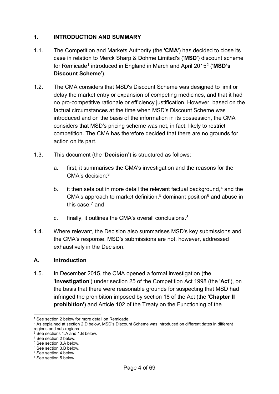## <span id="page-3-0"></span>**1. INTRODUCTION AND SUMMARY**

- 1.1. The Competition and Markets Authority (the '**CMA**') has decided to close its case in relation to Merck Sharp & Dohme Limited's ('**MSD**') discount scheme for Remicad[e1](#page-3-2) introduced in England in March and April 2015[2](#page-3-3) ('**MSD's Discount Scheme**').
- 1.2. The CMA considers that MSD's Discount Scheme was designed to limit or delay the market entry or expansion of competing medicines, and that it had no pro-competitive rationale or efficiency justification. However, based on the factual circumstances at the time when MSD's Discount Scheme was introduced and on the basis of the information in its possession, the CMA considers that MSD's pricing scheme was not, in fact, likely to restrict competition. The CMA has therefore decided that there are no grounds for action on its part.
- 1.3. This document (the '**Decision**') is structured as follows:
	- a. first, it summarises the CMA's investigation and the reasons for the CMA's decision; [3](#page-3-4)
	- b. it then sets out in more detail the relevant factual background,  $4$  and the CMA's approach to market definition,<sup>[5](#page-3-6)</sup> dominant position<sup>[6](#page-3-7)</sup> and abuse in this case; [7](#page-3-8) and
	- c. finally, it outlines the CMA's overall conclusions. $8$
- 1.4. Where relevant, the Decision also summarises MSD's key submissions and the CMA's response. MSD's submissions are not, however, addressed exhaustively in the Decision.

#### <span id="page-3-1"></span>**A. Introduction**

1.5. In December 2015, the CMA opened a formal investigation (the '**Investigation**') under section 25 of the Competition Act 1998 (the '**Act**'), on the basis that there were reasonable grounds for suspecting that MSD had infringed the prohibition imposed by section 18 of the Act (the '**Chapter II prohibition**') and Article 102 of the Treaty on the Functioning of the

<sup>1</sup> See sectio[n 2](#page-8-0) below for more detail on Remicade.

<span id="page-3-3"></span><span id="page-3-2"></span> $2$  As explained at section 2.D below, MSD's Discount Scheme was introduced on different dates in different regions and sub-regions.

<span id="page-3-4"></span> $3$  See sections [1](#page-3-0)[.A](#page-3-1) an[d 1.](#page-3-0)[B](#page-5-0) below.

<span id="page-3-5"></span><sup>4</sup> See sectio[n 2](#page-8-0) below.

<span id="page-3-6"></span><sup>5</sup> See sectio[n 3.](#page-30-0)[A](#page-30-1) below.

<span id="page-3-7"></span><sup>6</sup> See sectio[n 3.](#page-30-0)[B](#page-35-0) below.

<span id="page-3-8"></span><sup>7</sup> See sectio[n 4](#page-40-0) below.

<span id="page-3-9"></span><sup>8</sup> See sectio[n 5](#page-68-0) below.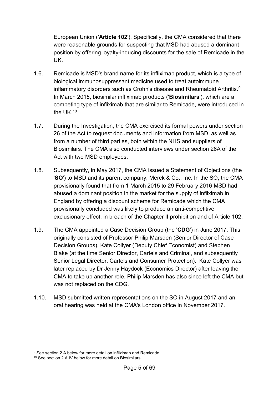European Union ('**Article 102**'). Specifically, the CMA considered that there were reasonable grounds for suspecting that MSD had abused a dominant position by offering loyalty-inducing discounts for the sale of Remicade in the UK.

- 1.6. Remicade is MSD's brand name for its infliximab product, which is a type of biological immunosuppressant medicine used to treat autoimmune inflammatory disorders such as Crohn's disease and Rheumatoid Arthritis.<sup>[9](#page-4-0)</sup> In March 2015, biosimilar infliximab products ('**Biosimilars**'), which are a competing type of infliximab that are similar to Remicade, were introduced in the UK.[10](#page-4-1)
- 1.7. During the Investigation, the CMA exercised its formal powers under section 26 of the Act to request documents and information from MSD, as well as from a number of third parties, both within the NHS and suppliers of Biosimilars. The CMA also conducted interviews under section 26A of the Act with two MSD employees.
- 1.8. Subsequently, in May 2017, the CMA issued a Statement of Objections (the '**SO**') to MSD and its parent company, Merck & Co., Inc. In the SO, the CMA provisionally found that from 1 March 2015 to 29 February 2016 MSD had abused a dominant position in the market for the supply of infliximab in England by offering a discount scheme for Remicade which the CMA provisionally concluded was likely to produce an anti-competitive exclusionary effect, in breach of the Chapter II prohibition and of Article 102.
- 1.9. The CMA appointed a Case Decision Group (the '**CDG**') in June 2017. This originally consisted of Professor Philip Marsden (Senior Director of Case Decision Groups), Kate Collyer (Deputy Chief Economist) and Stephen Blake (at the time Senior Director, Cartels and Criminal, and subsequently Senior Legal Director, Cartels and Consumer Protection). Kate Collyer was later replaced by Dr Jenny Haydock (Economics Director) after leaving the CMA to take up another role. Philip Marsden has also since left the CMA but was not replaced on the CDG.
- 1.10. MSD submitted written representations on the SO in August 2017 and an oral hearing was held at the CMA's London office in November 2017.

<sup>9</sup> See sectio[n 2.](#page-8-0)[A](#page-8-1) below for more detail on infliximab and Remicade.

<span id="page-4-1"></span><span id="page-4-0"></span><sup>10</sup> See sectio[n 2](#page-8-0)[.A](#page-8-1)[.IV](#page-11-0) below for more detail on Biosimilars.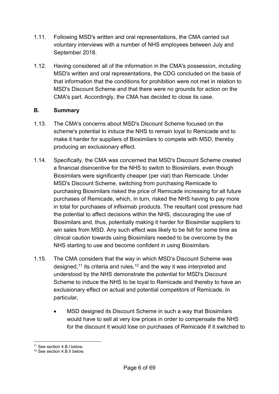- 1.11. Following MSD's written and oral representations, the CMA carried out voluntary interviews with a number of NHS employees between July and September 2018.
- 1.12. Having considered all of the information in the CMA's possession, including MSD's written and oral representations, the CDG concluded on the basis of that information that the conditions for prohibition were not met in relation to MSD's Discount Scheme and that there were no grounds for action on the CMA's part. Accordingly, the CMA has decided to close its case.

## <span id="page-5-0"></span>**B. Summary**

- 1.13. The CMA's concerns about MSD's Discount Scheme focused on the scheme's potential to induce the NHS to remain loyal to Remicade and to make it harder for suppliers of Biosimilars to compete with MSD, thereby producing an exclusionary effect.
- 1.14. Specifically, the CMA was concerned that MSD's Discount Scheme created a financial disincentive for the NHS to switch to Biosimilars, even though Biosimilars were significantly cheaper (per vial) than Remicade. Under MSD's Discount Scheme, switching from purchasing Remicade to purchasing Biosimilars risked the price of Remicade increasing for all future purchases of Remicade, which, in turn, risked the NHS having to pay more in total for purchases of infliximab products. The resultant cost pressure had the potential to affect decisions within the NHS, discouraging the use of Biosimilars and, thus, potentially making it harder for Biosimilar suppliers to win sales from MSD. Any such effect was likely to be felt for some time as clinical caution towards using Biosimilars needed to be overcome by the NHS starting to use and become confident in using Biosimilars.
- 1.15. The CMA considers that the way in which MSD's Discount Scheme was designed, $^{11}$  $^{11}$  $^{11}$  its criteria and rules, $^{12}$  $^{12}$  $^{12}$  and the way it was interpreted and understood by the NHS demonstrate the potential for MSD's Discount Scheme to induce the NHS to be loyal to Remicade and thereby to have an exclusionary effect on actual and potential competitors of Remicade. In particular,
	- MSD designed its Discount Scheme in such a way that Biosimilars would have to sell at very low prices in order to compensate the NHS for the discount it would lose on purchases of Remicade if it switched to

<sup>-</sup><sup>11</sup> See sectio[n 4](#page-40-0)[.B](#page-45-0)[.I](#page-47-0) below.

<span id="page-5-2"></span><span id="page-5-1"></span><sup>12</sup> See sectio[n 4](#page-40-0)[.B](#page-45-0)[.II](#page-49-0) below.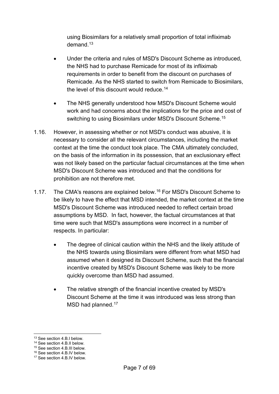using Biosimilars for a relatively small proportion of total infliximab demand. [13](#page-6-0)

- Under the criteria and rules of MSD's Discount Scheme as introduced, the NHS had to purchase Remicade for most of its infliximab requirements in order to benefit from the discount on purchases of Remicade. As the NHS started to switch from Remicade to Biosimilars, the level of this discount would reduce.<sup>[14](#page-6-1)</sup>
- The NHS generally understood how MSD's Discount Scheme would work and had concerns about the implications for the price and cost of switching to using Biosimilars under MSD's Discount Scheme.<sup>[15](#page-6-2)</sup>
- 1.16. However, in assessing whether or not MSD's conduct was abusive, it is necessary to consider all the relevant circumstances, including the market context at the time the conduct took place. The CMA ultimately concluded, on the basis of the information in its possession, that an exclusionary effect was not likely based on the particular factual circumstances at the time when MSD's Discount Scheme was introduced and that the conditions for prohibition are not therefore met.
- 1.17. The CMA's reasons are explained below.<sup>[16](#page-6-3)</sup> For MSD's Discount Scheme to be likely to have the effect that MSD intended, the market context at the time MSD's Discount Scheme was introduced needed to reflect certain broad assumptions by MSD. In fact, however, the factual circumstances at that time were such that MSD's assumptions were incorrect in a number of respects. In particular:
	- The degree of clinical caution within the NHS and the likely attitude of the NHS towards using Biosimilars were different from what MSD had assumed when it designed its Discount Scheme, such that the financial incentive created by MSD's Discount Scheme was likely to be more quickly overcome than MSD had assumed.
	- The relative strength of the financial incentive created by MSD's Discount Scheme at the time it was introduced was less strong than MSD had planned.<sup>[17](#page-6-4)</sup>

<u>.</u>

<span id="page-6-0"></span><sup>13</sup> See sectio[n 4](#page-40-0)[.B](#page-45-0)[.I](#page-47-0) below.

<span id="page-6-1"></span><sup>14</sup> See sectio[n 4](#page-40-0)[.B](#page-45-0)[.II](#page-49-0) below.

<span id="page-6-2"></span><sup>15</sup> See sectio[n 4](#page-40-0)[.B](#page-45-0)[.III](#page-52-0) below.

<span id="page-6-3"></span><sup>16</sup> See sectio[n 4](#page-40-0)[.B](#page-45-0)[.IV](#page-54-0) below.

<span id="page-6-4"></span><sup>17</sup> See sectio[n 4](#page-40-0)[.B](#page-45-0)[.IV](#page-54-0) below.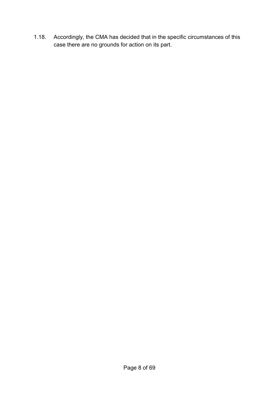1.18. Accordingly, the CMA has decided that in the specific circumstances of this case there are no grounds for action on its part.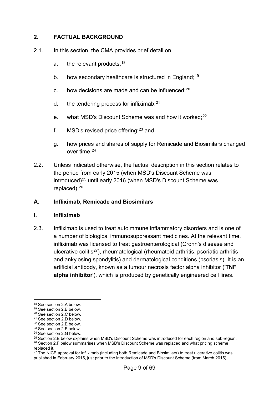#### <span id="page-8-0"></span>**2. FACTUAL BACKGROUND**

- 2.1. In this section, the CMA provides brief detail on:
	- a. the relevant products;<sup>[18](#page-8-2)</sup>
	- b. how secondary healthcare is structured in England;<sup>[19](#page-8-3)</sup>
	- c. how decisions are made and can be influenced; $^{20}$  $^{20}$  $^{20}$
	- d. the tendering process for infliximab;<sup>[21](#page-8-5)</sup>
	- e. what MSD's Discount Scheme was and how it worked;<sup>[22](#page-8-6)</sup>
	- f.  $\,$  MSD's revised price offering; $^{23}$  $^{23}$  $^{23}$  and
	- g. how prices and shares of supply for Remicade and Biosimilars changed over time. [24](#page-8-8)
- 2.2. Unless indicated otherwise, the factual description in this section relates to the period from early 2015 (when MSD's Discount Scheme was introduced)<sup>[25](#page-8-9)</sup> until early 2016 (when MSD's Discount Scheme was replaced)[.26](#page-8-10)

#### <span id="page-8-1"></span>**A. Infliximab, Remicade and Biosimilars**

#### <span id="page-8-12"></span>**I. Infliximab**

2.3. Infliximab is used to treat autoimmune inflammatory disorders and is one of a number of biological immunosuppressant medicines. At the relevant time, infliximab was licensed to treat gastroenterological (Crohn's disease and ulcerative colitis<sup>27</sup>), rheumatological (rheumatoid arthritis, psoriatic arthritis and ankylosing spondylitis) and dermatological conditions (psoriasis). It is an artificial antibody, known as a tumour necrosis factor alpha inhibitor ('**TNF alpha inhibitor**'), which is produced by genetically engineered cell lines.

-

<span id="page-8-2"></span><sup>18</sup> See sectio[n 2](#page-8-0)[.A](#page-8-1) below.

<span id="page-8-3"></span><sup>19</sup> See sectio[n 2](#page-8-0)[.B](#page-12-0) below.

<span id="page-8-4"></span><sup>20</sup> See sectio[n 2](#page-8-0)[.C](#page-16-0) below.

<span id="page-8-5"></span><sup>21</sup> See sectio[n 2](#page-8-0)[.D](#page-20-0) below.

<span id="page-8-6"></span><sup>22</sup> See sectio[n 2](#page-8-0)[.E](#page-21-0) below.

<span id="page-8-7"></span><sup>23</sup> See sectio[n 2](#page-8-0)[.F](#page-26-0) below.

<span id="page-8-8"></span><sup>24</sup> See sectio[n 2](#page-8-0)[.G](#page-27-0) below.

<span id="page-8-9"></span><sup>&</sup>lt;sup>25</sup> Sectio[n 2](#page-8-0)[.E](#page-21-0) below explains when MSD's Discount Scheme was introduced for each region and sub-region.

<span id="page-8-10"></span><sup>&</sup>lt;sup>26</sup> Sectio[n 2](#page-8-0)[.F](#page-26-0) below summarises when MSD's Discount Scheme was replaced and what pricing scheme replaced it.

<span id="page-8-11"></span> $27$  The NICE approval for infliximab (including both Remicade and Biosimilars) to treat ulcerative colitis was published in February 2015, just prior to the introduction of MSD's Discount Scheme (from March 2015).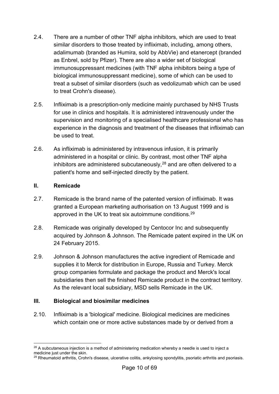- 2.4. There are a number of other TNF alpha inhibitors, which are used to treat similar disorders to those treated by infliximab, including, among others, adalimumab (branded as Humira, sold by AbbVie) and etanercept (branded as Enbrel, sold by Pfizer). There are also a wider set of biological immunosuppressant medicines (with TNF alpha inhibitors being a type of biological immunosuppressant medicine), some of which can be used to treat a subset of similar disorders (such as vedolizumab which can be used to treat Crohn's disease).
- 2.5. Infliximab is a prescription-only medicine mainly purchased by NHS Trusts for use in clinics and hospitals. It is administered intravenously under the supervision and monitoring of a specialised healthcare professional who has experience in the diagnosis and treatment of the diseases that infliximab can be used to treat.
- 2.6. As infliximab is administered by intravenous infusion, it is primarily administered in a hospital or clinic. By contrast, most other TNF alpha inhibitors are administered subcutaneously,  $28$  and are often delivered to a patient's home and self-injected directly by the patient.

#### **II. Remicade**

- 2.7. Remicade is the brand name of the patented version of infliximab. It was granted a European marketing authorisation on 13 August 1999 and is approved in the UK to treat six autoimmune conditions.<sup>[29](#page-9-1)</sup>
- 2.8. Remicade was originally developed by Centocor Inc and subsequently acquired by Johnson & Johnson. The Remicade patent expired in the UK on 24 February 2015.
- 2.9. Johnson & Johnson manufactures the active ingredient of Remicade and supplies it to Merck for distribution in Europe, Russia and Turkey. Merck group companies formulate and package the product and Merck's local subsidiaries then sell the finished Remicade product in the contract territory. As the relevant local subsidiary, MSD sells Remicade in the UK.

#### <span id="page-9-2"></span>**III. Biological and biosimilar medicines**

2.10. Infliximab is a 'biological' medicine. Biological medicines are medicines which contain one or more active substances made by or derived from a

<span id="page-9-0"></span><sup>&</sup>lt;u>.</u>  $28$  A subcutaneous injection is a method of administering medication whereby a needle is used to inject a medicine just under the skin.

<span id="page-9-1"></span> $^{29}$  Rheumatoid arthritis, Crohn's disease, ulcerative colitis, ankylosing spondylitis, psoriatic arthritis and psoriasis.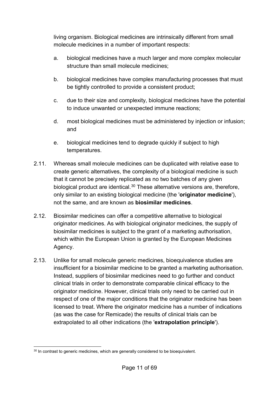living organism. Biological medicines are intrinsically different from small molecule medicines in a number of important respects:

- a. biological medicines have a much larger and more complex molecular structure than small molecule medicines;
- b. biological medicines have complex manufacturing processes that must be tightly controlled to provide a consistent product;
- c. due to their size and complexity, biological medicines have the potential to induce unwanted or unexpected immune reactions;
- d. most biological medicines must be administered by injection or infusion; and
- e. biological medicines tend to degrade quickly if subject to high temperatures.
- 2.11. Whereas small molecule medicines can be duplicated with relative ease to create generic alternatives, the complexity of a biological medicine is such that it cannot be precisely replicated as no two batches of any given biological product are identical. $30$  These alternative versions are, therefore, only similar to an existing biological medicine (the '**originator medicine**'), not the same, and are known as **biosimilar medicines**.
- 2.12. Biosimilar medicines can offer a competitive alternative to biological originator medicines. As with biological originator medicines, the supply of biosimilar medicines is subject to the grant of a marketing authorisation, which within the European Union is granted by the European Medicines Agency.
- 2.13. Unlike for small molecule generic medicines, bioequivalence studies are insufficient for a biosimilar medicine to be granted a marketing authorisation. Instead, suppliers of biosimilar medicines need to go further and conduct clinical trials in order to demonstrate comparable clinical efficacy to the originator medicine. However, clinical trials only need to be carried out in respect of one of the major conditions that the originator medicine has been licensed to treat. Where the originator medicine has a number of indications (as was the case for Remicade) the results of clinical trials can be extrapolated to all other indications (the '**extrapolation principle**').

<span id="page-10-0"></span><sup>-</sup> $30$  In contrast to generic medicines, which are generally considered to be bioequivalent.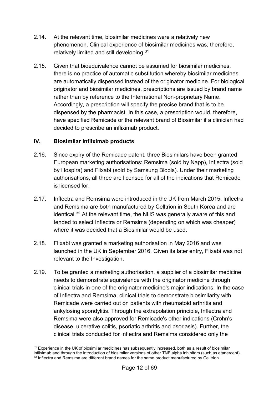- 2.14. At the relevant time, biosimilar medicines were a relatively new phenomenon. Clinical experience of biosimilar medicines was, therefore, relatively limited and still developing.<sup>[31](#page-11-1)</sup>
- 2.15. Given that bioequivalence cannot be assumed for biosimilar medicines, there is no practice of automatic substitution whereby biosimilar medicines are automatically dispensed instead of the originator medicine. For biological originator and biosimilar medicines, prescriptions are issued by brand name rather than by reference to the International Non-proprietary Name. Accordingly, a prescription will specify the precise brand that is to be dispensed by the pharmacist. In this case, a prescription would, therefore, have specified Remicade or the relevant brand of Biosimilar if a clinician had decided to prescribe an infliximab product.

#### <span id="page-11-0"></span>**IV. Biosimilar infliximab products**

- 2.16. Since expiry of the Remicade patent, three Biosimilars have been granted European marketing authorisations: Remsima (sold by Napp), Inflectra (sold by Hospira) and Flixabi (sold by Samsung Biopis). Under their marketing authorisations, all three are licensed for all of the indications that Remicade is licensed for.
- 2.17. Inflectra and Remsima were introduced in the UK from March 2015. Inflectra and Remsima are both manufactured by Celltrion in South Korea and are identical[.32](#page-11-2) At the relevant time, the NHS was generally aware of this and tended to select Inflectra or Remsima (depending on which was cheaper) where it was decided that a Biosimilar would be used.
- 2.18. Flixabi was granted a marketing authorisation in May 2016 and was launched in the UK in September 2016. Given its later entry, Flixabi was not relevant to the Investigation.
- 2.19. To be granted a marketing authorisation, a supplier of a biosimilar medicine needs to demonstrate equivalence with the originator medicine through clinical trials in one of the originator medicine's major indications. In the case of Inflectra and Remsima, clinical trials to demonstrate biosimilarity with Remicade were carried out on patients with rheumatoid arthritis and ankylosing spondylitis. Through the extrapolation principle, Inflectra and Remsima were also approved for Remicade's other indications (Crohn's disease, ulcerative colitis, psoriatic arthritis and psoriasis). Further, the clinical trials conducted for Inflectra and Remsima considered only the

<span id="page-11-2"></span><span id="page-11-1"></span><sup>&</sup>lt;u>.</u> <sup>31</sup> Experience in the UK of biosimilar medicines has subsequently increased, both as a result of biosimilar infliximab and through the introduction of biosimilar versions of other TNF alpha inhibitors (such as etanercept). <sup>32</sup> Inflectra and Remsima are different brand names for the same product manufactured by Celltrion.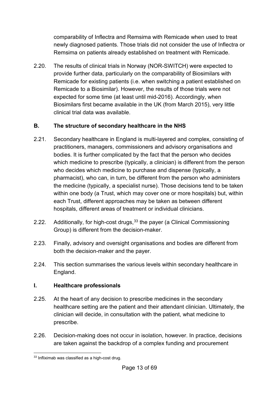comparability of Inflectra and Remsima with Remicade when used to treat newly diagnosed patients. Those trials did not consider the use of Inflectra or Remsima on patients already established on treatment with Remicade.

2.20. The results of clinical trials in Norway (NOR-SWITCH) were expected to provide further data, particularly on the comparability of Biosimilars with Remicade for existing patients (i.e. when switching a patient established on Remicade to a Biosimilar). However, the results of those trials were not expected for some time (at least until mid-2016). Accordingly, when Biosimilars first became available in the UK (from March 2015), very little clinical trial data was available.

## <span id="page-12-0"></span>**B. The structure of secondary healthcare in the NHS**

- 2.21. Secondary healthcare in England is multi-layered and complex, consisting of practitioners, managers, commissioners and advisory organisations and bodies. It is further complicated by the fact that the person who decides which medicine to prescribe (typically, a clinician) is different from the person who decides which medicine to purchase and dispense (typically, a pharmacist), who can, in turn, be different from the person who administers the medicine (typically, a specialist nurse). Those decisions tend to be taken within one body (a Trust, which may cover one or more hospitals) but, within each Trust, different approaches may be taken as between different hospitals, different areas of treatment or individual clinicians.
- 2.22. Additionally, for high-cost drugs,  $33$  the payer (a Clinical Commissioning Group) is different from the decision-maker.
- 2.23. Finally, advisory and oversight organisations and bodies are different from both the decision-maker and the payer.
- 2.24. This section summarises the various levels within secondary healthcare in England.

## **I. Healthcare professionals**

- 2.25. At the heart of any decision to prescribe medicines in the secondary healthcare setting are the patient and their attendant clinician. Ultimately, the clinician will decide, in consultation with the patient, what medicine to prescribe.
- 2.26. Decision-making does not occur in isolation, however. In practice, decisions are taken against the backdrop of a complex funding and procurement

<span id="page-12-1"></span><sup>-</sup> $33$  Infliximab was classified as a high-cost drug.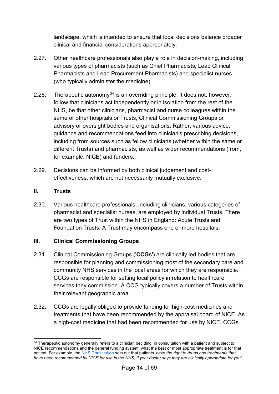landscape, which is intended to ensure that local decisions balance broader clinical and financial considerations appropriately.

- 2.27. Other healthcare professionals also play a role in decision-making, including various types of pharmacists (such as Chief Pharmacists, Lead Clinical Pharmacists and Lead Procurement Pharmacists) and specialist nurses (who typically administer the medicine).
- 2.28. Therapeutic autonomy $34$  is an overriding principle. It does not, however, follow that clinicians act independently or in isolation from the rest of the NHS, be that other clinicians, pharmacist and nurse colleagues within the same or other hospitals or Trusts, Clinical Commissioning Groups or advisory or oversight bodies and organisations. Rather, various advice, guidance and recommendations feed into clinician's prescribing decisions, including from sources such as fellow clinicians (whether within the same or different Trusts) and pharmacists, as well as wider recommendations (from, for example, NICE) and funders.
- 2.29. Decisions can be informed by both clinical judgement and costeffectiveness, which are not necessarily mutually exclusive.

#### **II. Trusts**

2.30. Various healthcare professionals, including clinicians, various categories of pharmacist and specialist nurses, are employed by individual Trusts. There are two types of Trust within the NHS in England: Acute Trusts and Foundation Trusts. A Trust may encompass one or more hospitals.

#### **III. Clinical Commissioning Groups**

- 2.31. Clinical Commissioning Groups ('**CCGs**') are clinically led bodies that are responsible for planning and commissioning most of the secondary care and community NHS services in the local areas for which they are responsible. CCGs are responsible for setting local policy in relation to healthcare services they commission. A CCG typically covers a number of Trusts within their relevant geographic area.
- 2.32. CCGs are legally obliged to provide funding for high-cost medicines and treatments that have been recommended by the appraisal board of NICE. As a high-cost medicine that had been recommended for use by NICE, CCGs

<span id="page-13-0"></span><sup>-</sup><sup>34</sup> Therapeutic autonomy generally refers to a clinician deciding, in consultation with a patient and subject to NICE recommendations and the general funding system, what the best or most appropriate treatment is for that patient. For example, the [NHS Constitution](https://www.gov.uk/government/publications/the-nhs-constitution-for-england/the-nhs-constitution-for-england) sets out that patients *'have the right to drugs and treatments that have been recommended by NICE for use in the NHS, if your doctor says they are clinically appropriate for you'*.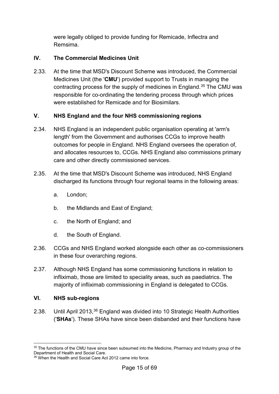were legally obliged to provide funding for Remicade, Inflectra and Remsima.

## **IV. The Commercial Medicines Unit**

2.33. At the time that MSD's Discount Scheme was introduced, the Commercial Medicines Unit (the '**CMU**') provided support to Trusts in managing the contracting process for the supply of medicines in England. [35](#page-14-0) The CMU was responsible for co-ordinating the tendering process through which prices were established for Remicade and for Biosimilars.

## <span id="page-14-2"></span>**V. NHS England and the four NHS commissioning regions**

- 2.34. NHS England is an independent public organisation operating at 'arm's length' from the Government and authorises CCGs to improve health outcomes for people in England. NHS England oversees the operation of, and allocates resources to, CCGs. NHS England also commissions primary care and other directly commissioned services.
- 2.35. At the time that MSD's Discount Scheme was introduced, NHS England discharged its functions through four regional teams in the following areas:
	- a. London;
	- b. the Midlands and East of England;
	- c. the North of England; and
	- d. the South of England.
- 2.36. CCGs and NHS England worked alongside each other as co-commissioners in these four overarching regions.
- 2.37. Although NHS England has some commissioning functions in relation to infliximab, those are limited to speciality areas, such as paediatrics. The majority of infliximab commissioning in England is delegated to CCGs.

## **VI. NHS sub-regions**

2.38. Until April 2013,<sup>[36](#page-14-1)</sup> England was divided into 10 Strategic Health Authorities ('**SHAs**'). These SHAs have since been disbanded and their functions have

<span id="page-14-0"></span><sup>&</sup>lt;u>.</u> <sup>35</sup> The functions of the CMU have since been subsumed into the Medicine, Pharmacy and Industry group of the Department of Health and Social Care.

<span id="page-14-1"></span><sup>36</sup> When the Health and Social Care Act 2012 came into force.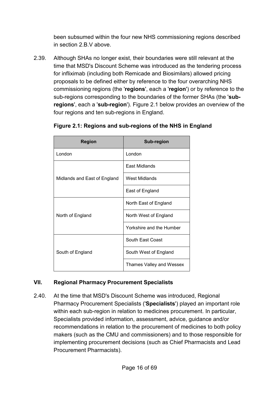been subsumed within the four new NHS commissioning regions described in section [2](#page-8-0)[.B.](#page-12-0)[V](#page-14-2) above.

2.39. Although SHAs no longer exist, their boundaries were still relevant at the time that MSD's Discount Scheme was introduced as the tendering process for infliximab (including both Remicade and Biosimilars) allowed pricing proposals to be defined either by reference to the four overarching NHS commissioning regions (the '**regions**', each a '**region**') or by reference to the sub-regions corresponding to the boundaries of the former SHAs (the '**subregions**', each a '**sub-region**'). Figure 2.1 below provides an overview of the four regions and ten sub-regions in England.

| <b>Region</b>                | Sub-region               |  |
|------------------------------|--------------------------|--|
| London                       | London                   |  |
|                              | East Midlands            |  |
| Midlands and East of England | West Midlands            |  |
|                              | East of England          |  |
|                              | North East of England    |  |
| North of England             | North West of England    |  |
|                              | Yorkshire and the Humber |  |
|                              | South East Coast         |  |
| South of England             | South West of England    |  |
|                              | Thames Valley and Wessex |  |

#### **Figure 2.1: Regions and sub-regions of the NHS in England**

## **VII. Regional Pharmacy Procurement Specialists**

2.40. At the time that MSD's Discount Scheme was introduced, Regional Pharmacy Procurement Specialists ('**Specialists**') played an important role within each sub-region in relation to medicines procurement. In particular, Specialists provided information, assessment, advice, guidance and/or recommendations in relation to the procurement of medicines to both policy makers (such as the CMU and commissioners) and to those responsible for implementing procurement decisions (such as Chief Pharmacists and Lead Procurement Pharmacists).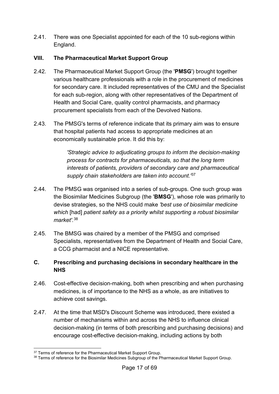2.41. There was one Specialist appointed for each of the 10 sub-regions within England.

## **VIII. The Pharmaceutical Market Support Group**

- 2.42. The Pharmaceutical Market Support Group (the '**PMSG**') brought together various healthcare professionals with a role in the procurement of medicines for secondary care. It included representatives of the CMU and the Specialist for each sub-region, along with other representatives of the Department of Health and Social Care, quality control pharmacists, and pharmacy procurement specialists from each of the Devolved Nations.
- 2.43. The PMSG's terms of reference indicate that its primary aim was to ensure that hospital patients had access to appropriate medicines at an economically sustainable price. It did this by:

*'Strategic advice to adjudicating groups to inform the decision-making process for contracts for pharmaceuticals, so that the long term interests of patients, providers of secondary care and pharmaceutical supply chain stakeholders are taken into account.'*[37](#page-16-1)

- 2.44. The PMSG was organised into a series of sub-groups. One such group was the Biosimilar Medicines Subgroup (the '**BMSG**'), whose role was primarily to devise strategies, so the NHS could make *'best use of biosimilar medicine which* [had] *patient safety as a priority whilst supporting a robust biosimilar market'*.[38](#page-16-2)
- 2.45. The BMSG was chaired by a member of the PMSG and comprised Specialists, representatives from the Department of Health and Social Care, a CCG pharmacist and a NICE representative.

## <span id="page-16-0"></span>**C. Prescribing and purchasing decisions in secondary healthcare in the NHS**

- 2.46. Cost-effective decision-making, both when prescribing and when purchasing medicines, is of importance to the NHS as a whole, as are initiatives to achieve cost savings.
- 2.47. At the time that MSD's Discount Scheme was introduced, there existed a number of mechanisms within and across the NHS to influence clinical decision-making (in terms of both prescribing and purchasing decisions) and encourage cost-effective decision-making, including actions by both

<span id="page-16-1"></span><sup>&</sup>lt;sup>37</sup> Terms of reference for the Pharmaceutical Market Support Group.

<span id="page-16-2"></span><sup>&</sup>lt;sup>38</sup> Terms of reference for the Biosimilar Medicines Subgroup of the Pharmaceutical Market Support Group.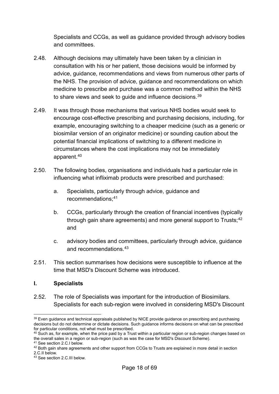Specialists and CCGs, as well as guidance provided through advisory bodies and committees.

- 2.48. Although decisions may ultimately have been taken by a clinician in consultation with his or her patient, those decisions would be informed by advice, guidance, recommendations and views from numerous other parts of the NHS. The provision of advice, guidance and recommendations on which medicine to prescribe and purchase was a common method within the NHS to share views and seek to guide and influence decisions.<sup>[39](#page-17-1)</sup>
- 2.49. It was through those mechanisms that various NHS bodies would seek to encourage cost-effective prescribing and purchasing decisions, including, for example, encouraging switching to a cheaper medicine (such as a generic or biosimilar version of an originator medicine) or sounding caution about the potential financial implications of switching to a different medicine in circumstances where the cost implications may not be immediately apparent. [40](#page-17-2)
- 2.50. The following bodies, organisations and individuals had a particular role in influencing what infliximab products were prescribed and purchased:
	- a. Specialists, particularly through advice, guidance and recommendations; [41](#page-17-3)
	- b. CCGs, particularly through the creation of financial incentives (typically through gain share agreements) and more general support to Trusts;<sup>[42](#page-17-4)</sup> and
	- c. advisory bodies and committees, particularly through advice, guidance and recommendations  $43$
- 2.51. This section summarises how decisions were susceptible to influence at the time that MSD's Discount Scheme was introduced.

#### <span id="page-17-0"></span>**I. Specialists**

2.52. The role of Specialists was important for the introduction of Biosimilars. Specialists for each sub-region were involved in considering MSD's Discount

<span id="page-17-1"></span><sup>-</sup><sup>39</sup> Even guidance and technical appraisals published by NICE provide guidance on prescribing and purchasing decisions but do not determine or dictate decisions. Such guidance informs decisions on what can be prescribed for particular conditions, not what must be prescribed.

<span id="page-17-2"></span><sup>&</sup>lt;sup>40</sup> Such as, for example, when the price paid by a Trust within a particular region or sub-region changes based on the overall sales in a region or sub-region (such as was the case for MSD's Discount Scheme).

<span id="page-17-3"></span><sup>41</sup> See sectio[n 2](#page-8-0)[.C](#page-16-0)[.I](#page-17-0) below.

<span id="page-17-4"></span><sup>&</sup>lt;sup>42</sup> Both gain share agreements and other support from CCGs to Trusts are explained in more detail in section [2](#page-8-0)[.C](#page-16-0)[.II](#page-19-0) below.

<span id="page-17-5"></span><sup>43</sup> See sectio[n 2](#page-8-0)[.C](#page-16-0)[.III](#page-20-1) below.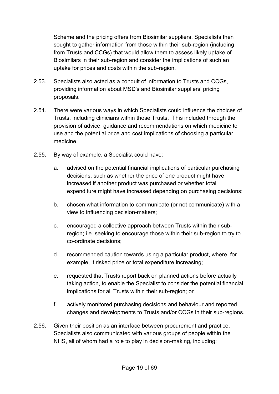Scheme and the pricing offers from Biosimilar suppliers. Specialists then sought to gather information from those within their sub-region (including from Trusts and CCGs) that would allow them to assess likely uptake of Biosimilars in their sub-region and consider the implications of such an uptake for prices and costs within the sub-region.

- 2.53. Specialists also acted as a conduit of information to Trusts and CCGs, providing information about MSD's and Biosimilar suppliers' pricing proposals.
- 2.54. There were various ways in which Specialists could influence the choices of Trusts, including clinicians within those Trusts. This included through the provision of advice, guidance and recommendations on which medicine to use and the potential price and cost implications of choosing a particular medicine.
- 2.55. By way of example, a Specialist could have:
	- a. advised on the potential financial implications of particular purchasing decisions, such as whether the price of one product might have increased if another product was purchased or whether total expenditure might have increased depending on purchasing decisions;
	- b. chosen what information to communicate (or not communicate) with a view to influencing decision-makers;
	- c. encouraged a collective approach between Trusts within their subregion; i.e. seeking to encourage those within their sub-region to try to co-ordinate decisions;
	- d. recommended caution towards using a particular product, where, for example, it risked price or total expenditure increasing;
	- e. requested that Trusts report back on planned actions before actually taking action, to enable the Specialist to consider the potential financial implications for all Trusts within their sub-region; or
	- f. actively monitored purchasing decisions and behaviour and reported changes and developments to Trusts and/or CCGs in their sub-regions.
- 2.56. Given their position as an interface between procurement and practice, Specialists also communicated with various groups of people within the NHS, all of whom had a role to play in decision-making, including: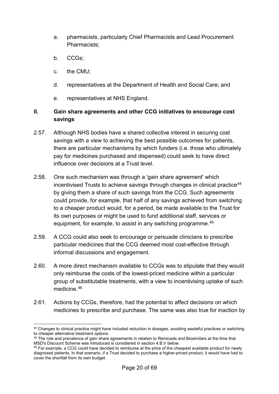- a. pharmacists, particularly Chief Pharmacists and Lead Procurement Pharmacists;
- b. CCGs;
- c. the CMU;
- d. representatives at the Department of Health and Social Care; and
- e. representatives at NHS England.

## <span id="page-19-0"></span>**II. Gain share agreements and other CCG initiatives to encourage cost savings**

- 2.57. Although NHS bodies have a shared collective interest in securing cost savings with a view to achieving the best possible outcomes for patients, there are particular mechanisms by which funders (i.e. those who ultimately pay for medicines purchased and dispensed) could seek to have direct influence over decisions at a Trust level.
- 2.58. One such mechanism was through a 'gain share agreement' which incentivised Trusts to achieve savings through changes in clinical practice<sup>[44](#page-19-1)</sup> by giving them a share of such savings from the CCG. Such agreements could provide, for example, that half of any savings achieved from switching to a cheaper product would, for a period, be made available to the Trust for its own purposes or might be used to fund additional staff, services or equipment, for example, to assist in any switching programme.<sup>[45](#page-19-2)</sup>
- 2.59. A CCG could also seek to encourage or persuade clinicians to prescribe particular medicines that the CCG deemed most cost-effective through informal discussions and engagement.
- 2.60. A more direct mechanism available to CCGs was to stipulate that they would only reimburse the costs of the lowest-priced medicine within a particular group of substitutable treatments, with a view to incentivising uptake of such medicine[.46](#page-19-3)
- 2.61. Actions by CCGs, therefore, had the potential to affect decisions on which medicines to prescribe and purchase. The same was also true for inaction by

<span id="page-19-1"></span><sup>-</sup><sup>44</sup> Changes to clinical practice might have included reduction in dosages, avoiding wasteful practices or switching to cheaper alternative treatment options.

<span id="page-19-2"></span><sup>&</sup>lt;sup>45</sup> The role and prevalence of gain share agreements in relation to Remicade and Biosimilars at the time that MSD's Discount Scheme was introduced is considered in section [4](#page-40-0)[.B.](#page-45-0)[V](#page-60-0) below.

<span id="page-19-3"></span><sup>&</sup>lt;sup>46</sup> For example, a CCG could have decided to reimburse at the price of the cheapest available product for newly diagnosed patients. In that scenario, if a Trust decided to purchase a higher-priced product, it would have had to cover the shortfall from its own budget.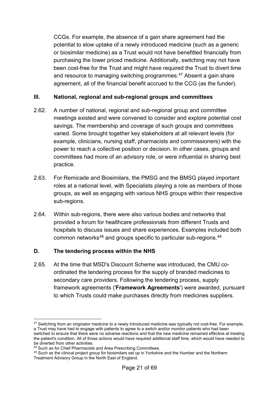CCGs. For example, the absence of a gain share agreement had the potential to slow uptake of a newly introduced medicine (such as a generic or biosimilar medicine) as a Trust would not have benefitted financially from purchasing the lower priced medicine. Additionally, switching may not have been cost-free for the Trust and might have required the Trust to divert time and resource to managing switching programmes. $47$  Absent a gain share agreement, all of the financial benefit accrued to the CCG (as the funder).

#### <span id="page-20-1"></span>**III. National, regional and sub-regional groups and committees**

- 2.62. A number of national, regional and sub-regional group and committee meetings existed and were convened to consider and explore potential cost savings. The membership and coverage of such groups and committees varied. Some brought together key stakeholders at all relevant levels (for example, clinicians, nursing staff, pharmacists and commissioners) with the power to reach a collective position or decision. In other cases, groups and committees had more of an advisory role, or were influential in sharing best practice.
- 2.63. For Remicade and Biosimilars, the PMSG and the BMSG played important roles at a national level, with Specialists playing a role as members of those groups, as well as engaging with various NHS groups within their respective sub-regions.
- 2.64. Within sub-regions, there were also various bodies and networks that provided a forum for healthcare professionals from different Trusts and hospitals to discuss issues and share experiences. Examples included both common networks<sup>[48](#page-20-3)</sup> and groups specific to particular sub-regions.<sup>[49](#page-20-4)</sup>

#### <span id="page-20-0"></span>**D. The tendering process within the NHS**

2.65. At the time that MSD's Discount Scheme was introduced, the CMU coordinated the tendering process for the supply of branded medicines to secondary care providers. Following the tendering process, supply framework agreements ('**Framework Agreements**') were awarded, pursuant to which Trusts could make purchases directly from medicines suppliers.

<u>.</u>

<span id="page-20-2"></span><sup>&</sup>lt;sup>47</sup> Switching from an originator medicine to a newly introduced medicine was typically not cost-free. For example, a Trust may have had to engage with patients to agree to a switch and/or monitor patients who had been switched to ensure that there were no adverse reactions and that the new medicine remained effective at treating the patient's condition. All of those actions would have required additional staff time, which would have needed to be diverted from other activities.

<span id="page-20-3"></span><sup>48</sup> Such as for Chief Pharmacists and Area Prescribing Committees.

<span id="page-20-4"></span><sup>49</sup> Such as the clinical project group for biosimilars set up in Yorkshire and the Humber and the Northern Treatment Advisory Group in the North East of England.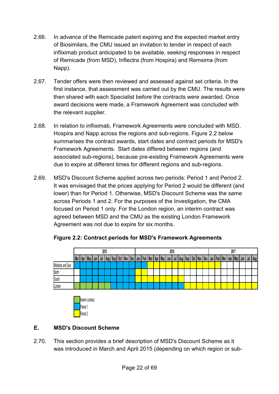- 2.66. In advance of the Remicade patent expiring and the expected market entry of Biosimilars, the CMU issued an invitation to tender in respect of each infliximab product anticipated to be available, seeking responses in respect of Remicade (from MSD), Inflectra (from Hospira) and Remsima (from Napp).
- 2.67. Tender offers were then reviewed and assessed against set criteria. In the first instance, that assessment was carried out by the CMU. The results were then shared with each Specialist before the contracts were awarded. Once award decisions were made, a Framework Agreement was concluded with the relevant supplier.
- <span id="page-21-1"></span>2.68. In relation to infliximab, Framework Agreements were concluded with MSD, Hospira and Napp across the regions and sub-regions. Figure 2.2 below summarises the contract awards, start dates and contract periods for MSD's Framework Agreements. Start dates differed between regions (and associated sub-regions), because pre-existing Framework Agreements were due to expire at different times for different regions and sub-regions.
- 2.69. MSD's Discount Scheme applied across two periods: Period 1 and Period 2. It was envisaged that the prices applying for Period 2 would be different (and lower) than for Period 1. Otherwise, MSD's Discount Scheme was the same across Periods 1 and 2. For the purposes of the Investigation, the CMA focused on Period 1 only. For the London region, an interim contract was agreed between MSD and the CMU as the existing London Framework Agreement was not due to expire for six months.



**Figure 2.2: Contract periods for MSD's Framework Agreements**

## <span id="page-21-0"></span>**E. MSD's Discount Scheme**

2.70. This section provides a brief description of MSD's Discount Scheme as it was introduced in March and April 2015 (depending on which region or sub-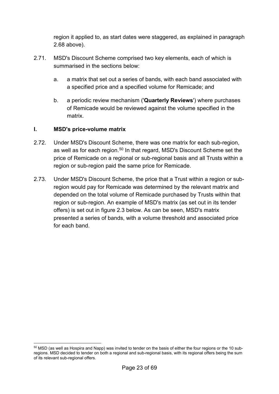region it applied to, as start dates were staggered, as explained in paragraph [2.68](#page-21-1) above).

- 2.71. MSD's Discount Scheme comprised two key elements, each of which is summarised in the sections below:
	- a. a matrix that set out a series of bands, with each band associated with a specified price and a specified volume for Remicade; and
	- b. a periodic review mechanism ('**Quarterly Reviews**') where purchases of Remicade would be reviewed against the volume specified in the matrix.

#### <span id="page-22-1"></span>**I. MSD's price-volume matrix**

- 2.72. Under MSD's Discount Scheme, there was one matrix for each sub-region, as well as for each region.<sup>[50](#page-22-0)</sup> In that regard, MSD's Discount Scheme set the price of Remicade on a regional or sub-regional basis and all Trusts within a region or sub-region paid the same price for Remicade.
- 2.73. Under MSD's Discount Scheme, the price that a Trust within a region or subregion would pay for Remicade was determined by the relevant matrix and depended on the total volume of Remicade purchased by Trusts within that region or sub-region. An example of MSD's matrix (as set out in its tender offers) is set out in figure 2.3 below. As can be seen, MSD's matrix presented a series of bands, with a volume threshold and associated price for each band.

<span id="page-22-0"></span><sup>&</sup>lt;u>.</u> <sup>50</sup> MSD (as well as Hospira and Napp) was invited to tender on the basis of either the four regions or the 10 subregions. MSD decided to tender on both a regional and sub-regional basis, with its regional offers being the sum of its relevant sub-regional offers.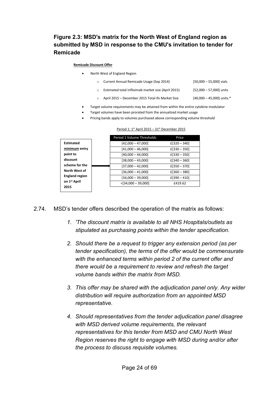## **Figure 2.3: MSD's matrix for the North West of England region as submitted by MSD in response to the CMU's invitation to tender for Remicade**

#### **Remicade Discount Offer**

**2015**

- North West of England Region
	- o Current Annual Remicade Usage (Sep 2014) [50,000 55,000] vials
	- o Estimated total Infliximab market size (April 2015) [52,000 57,000] units
	- o April 2015 December 2015 Total ifx Market Size [40,000 45,000] units.\*
- Target volume requirements may be attained from within the entire cytokine modulator

• Pricing bands apply to volumes purchased above corresponding volume threshold

• Target volumes have been prorated from the annualized market usage

- Period 1: 1<sup>st</sup> April 2015 31<sup>st</sup> December 2015 Period 1 Volume Thresholds Price  $[42,000 - 47,000]$   $[320 - 340]$  $[41,000 - 46,000]$   $E[330 - 350]$  $[40,000 - 44,000]$   $[330 - 350]$  $[38,000 - 43,000]$   $E[340 - 360]$  $[37,000 - 42,000]$   $[350 - 370]$  $[36,000 - 41,000]$   $[360 - 380]$  $[34,000 - 39,000]$   $[390 - 410]$  $\leq$ [34,000 – 39,000]  $\qquad \qquad$  £419.62 **Estimated minimum entry point to discount scheme for the North West of England region on 1st April**
- 2.74. MSD's tender offers described the operation of the matrix as follows:
	- *1. 'The discount matrix is available to all NHS Hospitals/outlets as stipulated as purchasing points within the tender specification.*
	- *2. Should there be a request to trigger any extension period (as per tender specification), the terms of the offer would be commensurate with the enhanced terms within period 2 of the current offer and there would be a requirement to review and refresh the target volume bands within the matrix from MSD.*
	- *3. This offer may be shared with the adjudication panel only. Any wider distribution will require authorization from an appointed MSD representative.*
	- *4. Should representatives from the tender adjudication panel disagree with MSD derived volume requirements, the relevant representatives for this tender from MSD and CMU North West Region reserves the right to engage with MSD during and/or after the process to discuss requisite volumes.*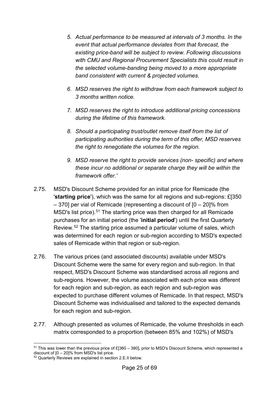- *5. Actual performance to be measured at intervals of 3 months. In the event that actual performance deviates from that forecast, the existing price-band will be subject to review. Following discussions with CMU and Regional Procurement Specialists this could result in the selected volume-banding being moved to a more appropriate band consistent with current & projected volumes.*
- *6. MSD reserves the right to withdraw from each framework subject to 3 months written notice.*
- *7. MSD reserves the right to introduce additional pricing concessions during the lifetime of this framework.*
- *8. Should a participating trust/outlet remove itself from the list of participating authorities during the term of this offer, MSD reserves the right to renegotiate the volumes for the region.*
- *9. MSD reserve the right to provide services (non- specific) and where these incur no additional or separate charge they will be within the framework offer.'*
- 2.75. MSD's Discount Scheme provided for an initial price for Remicade (the '**starting price**'), which was the same for all regions and sub-regions: £[350 – 370] per vial of Remicade (representing a discount of [0 – 20]% from MSD's list price).<sup>[51](#page-24-0)</sup> The starting price was then charged for all Remicade purchases for an initial period (the '**initial period**') until the first Quarterly Review.[52](#page-24-1) The starting price assumed a particular volume of sales, which was determined for each region or sub-region according to MSD's expected sales of Remicade within that region or sub-region.
- 2.76. The various prices (and associated discounts) available under MSD's Discount Scheme were the same for every region and sub-region. In that respect, MSD's Discount Scheme was standardised across all regions and sub-regions. However, the volume associated with each price was different for each region and sub-region, as each region and sub-region was expected to purchase different volumes of Remicade. In that respect, MSD's Discount Scheme was individualised and tailored to the expected demands for each region and sub-region.
- 2.77. Although presented as volumes of Remicade, the volume thresholds in each matrix corresponded to a proportion (between 85% and 102%) of MSD's

<span id="page-24-0"></span><sup>&</sup>lt;u>.</u>  $51$  This was lower than the previous price of £[360 – 380], prior to MSD's Discount Scheme, which represented a discount of [0 – 20]% from MSD's list price.

<span id="page-24-1"></span><sup>52</sup> Quarterly Reviews are explained in section [2.](#page-8-0)[E](#page-21-0)[.II](#page-26-1) below.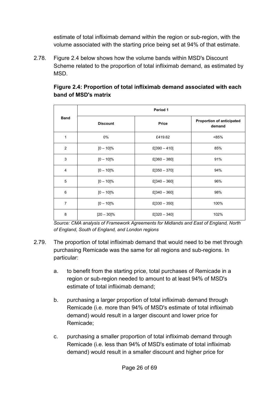estimate of total infliximab demand within the region or sub-region, with the volume associated with the starting price being set at 94% of that estimate.

2.78. Figure 2.4 below shows how the volume bands within MSD's Discount Scheme related to the proportion of total infliximab demand, as estimated by MSD.

|                | Period 1        |                 |                                            |  |
|----------------|-----------------|-----------------|--------------------------------------------|--|
| <b>Band</b>    | <b>Discount</b> | Price           | <b>Proportion of anticipated</b><br>demand |  |
| 1              | 0%              | £419.62         | < 85%                                      |  |
| 2              | $[0 - 10]$ %    | £[390 $-$ 410]  | 85%                                        |  |
| 3              | $[0 - 10]$ %    | $E[360 - 380]$  | 91%                                        |  |
| $\overline{4}$ | $[0 - 10]$ %    | £[350 $-$ 370]  | 94%                                        |  |
| 5              | $[0 - 10]$ %    | $E[340 - 360]$  | 96%                                        |  |
| 6              | $[0 - 10]$ %    | £ $[340 - 360]$ | 98%                                        |  |
| $\overline{7}$ | $[0 - 10]$ %    | $E[330 - 350]$  | 100%                                       |  |
| 8              | $[20 - 30]\%$   | £ $[320 - 340]$ | 102%                                       |  |

## **Figure 2.4: Proportion of total infliximab demand associated with each band of MSD's matrix**

*Source: CMA analysis of Framework Agreements for Midlands and East of England, North of England, South of England, and London regions*

- 2.79. The proportion of total infliximab demand that would need to be met through purchasing Remicade was the same for all regions and sub-regions. In particular:
	- a. to benefit from the starting price, total purchases of Remicade in a region or sub-region needed to amount to at least 94% of MSD's estimate of total infliximab demand;
	- b. purchasing a larger proportion of total infliximab demand through Remicade (i.e. more than 94% of MSD's estimate of total infliximab demand) would result in a larger discount and lower price for Remicade;
	- c. purchasing a smaller proportion of total infliximab demand through Remicade (i.e. less than 94% of MSD's estimate of total infliximab demand) would result in a smaller discount and higher price for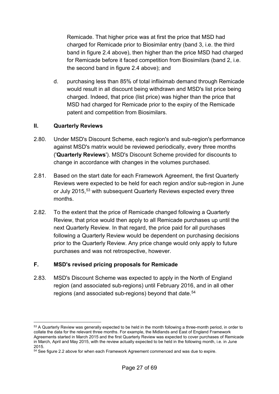Remicade. That higher price was at first the price that MSD had charged for Remicade prior to Biosimilar entry (band 3, i.e. the third band in figure 2.4 above), then higher than the price MSD had charged for Remicade before it faced competition from Biosimilars (band 2, i.e. the second band in figure 2.4 above); and

d. purchasing less than 85% of total infliximab demand through Remicade would result in all discount being withdrawn and MSD's list price being charged. Indeed, that price (list price) was higher than the price that MSD had charged for Remicade prior to the expiry of the Remicade patent and competition from Biosimilars.

#### <span id="page-26-1"></span>**II. Quarterly Reviews**

-

- 2.80. Under MSD's Discount Scheme, each region's and sub-region's performance against MSD's matrix would be reviewed periodically, every three months ('**Quarterly Reviews**'). MSD's Discount Scheme provided for discounts to change in accordance with changes in the volumes purchased.
- 2.81. Based on the start date for each Framework Agreement, the first Quarterly Reviews were expected to be held for each region and/or sub-region in June or July 2015, [53](#page-26-2) with subsequent Quarterly Reviews expected every three months.
- 2.82. To the extent that the price of Remicade changed following a Quarterly Review, that price would then apply to all Remicade purchases up until the next Quarterly Review. In that regard, the price paid for all purchases following a Quarterly Review would be dependent on purchasing decisions prior to the Quarterly Review. Any price change would only apply to future purchases and was not retrospective, however.

#### <span id="page-26-0"></span>**F. MSD's revised pricing proposals for Remicade**

2.83. MSD's Discount Scheme was expected to apply in the North of England region (and associated sub-regions) until February 2016, and in all other regions (and associated sub-regions) beyond that date.<sup>[54](#page-26-3)</sup>

<span id="page-26-2"></span><sup>&</sup>lt;sup>53</sup> A Quarterly Review was generally expected to be held in the month following a three-month period, in order to collate the data for the relevant three months. For example, the Midlands and East of England Framework Agreements started in March 2015 and the first Quarterly Review was expected to cover purchases of Remicade in March, April and May 2015, with the review actually expected to be held in the following month, i.e. in June 2015.

<span id="page-26-3"></span><sup>&</sup>lt;sup>54</sup> See figure 2.2 above for when each Framework Agreement commenced and was due to expire.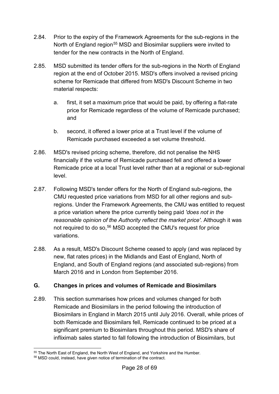- 2.84. Prior to the expiry of the Framework Agreements for the sub-regions in the North of England region<sup>[55](#page-27-1)</sup> MSD and Biosimilar suppliers were invited to tender for the new contracts in the North of England.
- 2.85. MSD submitted its tender offers for the sub-regions in the North of England region at the end of October 2015. MSD's offers involved a revised pricing scheme for Remicade that differed from MSD's Discount Scheme in two material respects:
	- a. first, it set a maximum price that would be paid, by offering a flat-rate price for Remicade regardless of the volume of Remicade purchased; and
	- b. second, it offered a lower price at a Trust level if the volume of Remicade purchased exceeded a set volume threshold.
- 2.86. MSD's revised pricing scheme, therefore, did not penalise the NHS financially if the volume of Remicade purchased fell and offered a lower Remicade price at a local Trust level rather than at a regional or sub-regional level.
- 2.87. Following MSD's tender offers for the North of England sub-regions, the CMU requested price variations from MSD for all other regions and subregions. Under the Framework Agreements, the CMU was entitled to request a price variation where the price currently being paid *'does not in the reasonable opinion of the Authority reflect the market price'*. Although it was not required to do so, [56](#page-27-2) MSD accepted the CMU's request for price variations.
- 2.88. As a result, MSD's Discount Scheme ceased to apply (and was replaced by new, flat rates prices) in the Midlands and East of England, North of England, and South of England regions (and associated sub-regions) from March 2016 and in London from September 2016.

## <span id="page-27-0"></span>**G. Changes in prices and volumes of Remicade and Biosimilars**

2.89. This section summarises how prices and volumes changed for both Remicade and Biosimilars in the period following the introduction of Biosimilars in England in March 2015 until July 2016. Overall, while prices of both Remicade and Biosimilars fell, Remicade continued to be priced at a significant premium to Biosimilars throughout this period. MSD's share of infliximab sales started to fall following the introduction of Biosimilars, but

<sup>-</sup> $55$  The North East of England, the North West of England, and Yorkshire and the Humber.

<span id="page-27-2"></span><span id="page-27-1"></span><sup>56</sup> MSD could, instead, have given notice of termination of the contract.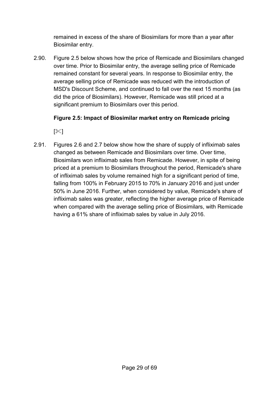remained in excess of the share of Biosimilars for more than a year after Biosimilar entry.

2.90. Figure 2.5 below shows how the price of Remicade and Biosimilars changed over time. Prior to Biosimilar entry, the average selling price of Remicade remained constant for several years. In response to Biosimilar entry, the average selling price of Remicade was reduced with the introduction of MSD's Discount Scheme, and continued to fall over the next 15 months (as did the price of Biosimilars). However, Remicade was still priced at a significant premium to Biosimilars over this period.

## **Figure 2.5: Impact of Biosimilar market entry on Remicade pricing**

 $\ll$ ]

2.91. Figures 2.6 and 2.7 below show how the share of supply of infliximab sales changed as between Remicade and Biosimilars over time. Over time, Biosimilars won infliximab sales from Remicade. However, in spite of being priced at a premium to Biosimilars throughout the period, Remicade's share of infliximab sales by volume remained high for a significant period of time, falling from 100% in February 2015 to 70% in January 2016 and just under 50% in June 2016. Further, when considered by value, Remicade's share of infliximab sales was greater, reflecting the higher average price of Remicade when compared with the average selling price of Biosimilars, with Remicade having a 61% share of infliximab sales by value in July 2016.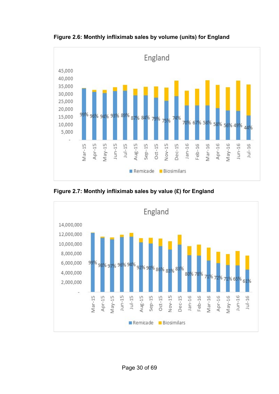

**Figure 2.6: Monthly infliximab sales by volume (units) for England**

**Figure 2.7: Monthly infliximab sales by value (£) for England**

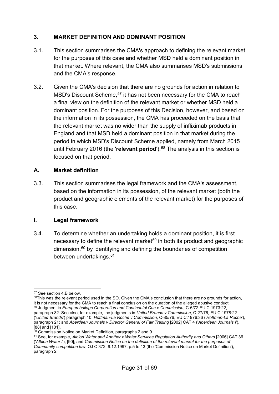## <span id="page-30-0"></span>**3. MARKET DEFINITION AND DOMINANT POSITION**

- 3.1. This section summarises the CMA's approach to defining the relevant market for the purposes of this case and whether MSD held a dominant position in that market. Where relevant, the CMA also summarises MSD's submissions and the CMA's response.
- 3.2. Given the CMA's decision that there are no grounds for action in relation to MSD's Discount Scheme, [57](#page-30-2) it has not been necessary for the CMA to reach a final view on the definition of the relevant market or whether MSD held a dominant position. For the purposes of this Decision, however, and based on the information in its possession, the CMA has proceeded on the basis that the relevant market was no wider than the supply of infliximab products in England and that MSD held a dominant position in that market during the period in which MSD's Discount Scheme applied, namely from March 2015 until February 2016 (the **relevant period**).<sup>[58](#page-30-3)</sup> The analysis in this section is focused on that period.

## <span id="page-30-1"></span>**A. Market definition**

3.3. This section summarises the legal framework and the CMA's assessment, based on the information in its possession, of the relevant market (both the product and geographic elements of the relevant market) for the purposes of this case.

## **I. Legal framework**

3.4. To determine whether an undertaking holds a dominant position, it is first necessary to define the relevant market<sup>[59](#page-30-4)</sup> in both its product and geographic dimension, $60$  by identifying and defining the boundaries of competition between undertakings.[61](#page-30-6)

<sup>-</sup><sup>57</sup> See sectio[n 4](#page-40-0)[.B](#page-45-0) below.

<span id="page-30-3"></span><span id="page-30-2"></span><sup>58</sup>This was the relevant period used in the SO. Given the CMA's conclusion that there are no grounds for action, it is not necessary for the CMA to reach a final conclusion on the duration of the alleged abusive conduct. 59 Judgment in *Europemballage Corporation and Continental Can v Commission*, C-6/72 EU:C:1973:22,

<span id="page-30-4"></span>paragraph 32. See also, for example, the judgments in *United Brands v Commission*, C-27/76, EU:C:1978:22 ('*United Brands*') paragraph 10; *Hoffman-La Roche v Commission*, C-85/76, EU:C:1976:36 ('*Hoffman-La Roche*'), paragraph 21; and *Aberdeen Journals v Director General of Fair Trading* [2002] CAT 4 ('*Aberdeen Journals I*'), [88] and [101].

<span id="page-30-5"></span><sup>60</sup> Commission Notice on Market Definition, paragraphs 2 and 9.

<span id="page-30-6"></span><sup>61</sup> See, for example, *Albion Water and Another v Water Services Regulation Authority and Others* [2006] CAT 36 ('*Albion Water I*'), [90]; and *Commission Notice on the definition of the relevant market for the purposes of Community competition law*, OJ C 372, 9.12.1997, p.5 to 13 (the 'Commission Notice on Market Definition'), paragraph 2.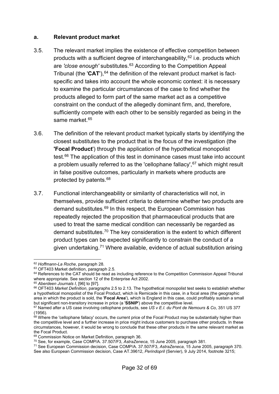#### **a. Relevant product market**

- 3.5. The relevant market implies the existence of effective competition between products with a sufficient degree of interchangeability, [62](#page-31-0) i.e. products which are *'close enough'* substitutes.<sup>[63](#page-31-1)</sup> According to the Competition Appeal Tribunal (the 'CAT'), <sup>[64](#page-31-2)</sup> the definition of the relevant product market is factspecific and takes into account the whole economic context: it is necessary to examine the particular circumstances of the case to find whether the products alleged to form part of the same market act as a competitive constraint on the conduct of the allegedly dominant firm, and, therefore, sufficiently compete with each other to be sensibly regarded as being in the same market. [65](#page-31-3)
- 3.6. The definition of the relevant product market typically starts by identifying the closest substitutes to the product that is the focus of the investigation (the **'Focal Product**') through the application of the hypothetical monopolist test.[66](#page-31-4) The application of this test in dominance cases must take into account a problem usually referred to as the 'cellophane fallacy',  $67$  which might result in false positive outcomes, particularly in markets where products are protected by patents.[68](#page-31-6)
- 3.7. Functional interchangeability or similarity of characteristics will not, in themselves, provide sufficient criteria to determine whether two products are demand substitutes.<sup>69</sup> In this respect, the European Commission has repeatedly rejected the proposition that pharmaceutical products that are used to treat the same medical condition can necessarily be regarded as demand substitutes[.70](#page-31-8) The key consideration is the extent to which different product types can be expected significantly to constrain the conduct of a given undertaking.<sup>[71](#page-31-9)</sup> Where available, evidence of actual substitution arising

<span id="page-31-3"></span><sup>65</sup> *Aberdeen Journals I*, [96] to [97].

<sup>-</sup><sup>62</sup> *Hoffmann-La Roche*, paragraph 28.

<span id="page-31-1"></span><span id="page-31-0"></span><sup>&</sup>lt;sup>63</sup> OFT403 Market definition, paragraph 2.5.

<span id="page-31-2"></span><sup>&</sup>lt;sup>64</sup> References to the CAT should be read as including reference to the Competition Commission Appeal Tribunal where appropriate. See section 12 of the Enterprise Act 2002.

<span id="page-31-4"></span><sup>66</sup> OFT403 *Market Definition*, paragraphs 2.5 to 2.13. The hypothetical monopolist test seeks to establish whether a hypothetical monopolist of the Focal Product, which is Remicade in this case, in a focal area (the geographic area in which the product is sold, the '**Focal Area**'), which is England in this case, could profitably sustain a small

<span id="page-31-5"></span><sup>&</sup>lt;sup>67</sup> Named after a US case involving cellophane products, see US v E.I. du Pont de Nemours & Co, 351 US 377 (1956).

<span id="page-31-6"></span> $68$  Where the 'cellophane fallacy' occurs, the current price of the Focal Product may be substantially higher than the competitive level and a further increase in price might induce customers to purchase other products. In these circumstances, however, it would be wrong to conclude that these other products in the same relevant market as the Focal Product.

<span id="page-31-7"></span><sup>69</sup> Commission Notice on Market Definition, paragraph 36. 70 See, for example, Case COMP/A. 37.507/F3, *AstraZeneca*, 15 June 2005, paragraph 381.

<span id="page-31-9"></span><span id="page-31-8"></span><sup>71</sup> See European Commission decision, Case COMP/A. 37.507/F3, *AstraZeneca*, 15 June 2005, paragraph 370. See also European Commission decision, Case AT.39612, *Perindopril* (Servier), 9 July 2014, footnote 3215;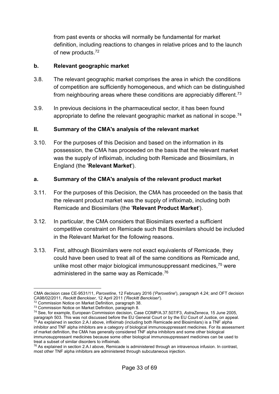from past events or shocks will normally be fundamental for market definition, including reactions to changes in relative prices and to the launch of new products.<sup>[72](#page-32-0)</sup>

#### **b. Relevant geographic market**

- 3.8. The relevant geographic market comprises the area in which the conditions of competition are sufficiently homogeneous, and which can be distinguished from neighbouring areas where these conditions are appreciably different.[73](#page-32-1)
- 3.9. In previous decisions in the pharmaceutical sector, it has been found appropriate to define the relevant geographic market as national in scope.<sup>74</sup>

## **II. Summary of the CMA's analysis of the relevant market**

3.10. For the purposes of this Decision and based on the information in its possession, the CMA has proceeded on the basis that the relevant market was the supply of infliximab, including both Remicade and Biosimilars, in England (the '**Relevant Market**').

## **a. Summary of the CMA's analysis of the relevant product market**

- 3.11. For the purposes of this Decision, the CMA has proceeded on the basis that the relevant product market was the supply of infliximab, including both Remicade and Biosimilars (the '**Relevant Product Market**').
- 3.12. In particular, the CMA considers that Biosimilars exerted a sufficient competitive constraint on Remicade such that Biosimilars should be included in the Relevant Market for the following reasons.
- 3.13. First, although Biosimilars were not exact equivalents of Remicade, they could have been used to treat all of the same conditions as Remicade and, unlike most other major biological immunosuppressant medicines, [75](#page-32-3) were administered in the same way as Remicade. [76](#page-32-4)

<sup>-</sup>CMA decision case CE-9531/11, *Paroxetine*, 12 February 2016 ('*Paroxetine*'), paragraph 4.24; and OFT decision CA98/02/2011, *Reckitt Benckiser*, 12 April 2011 ('*Reckitt Benckiser*').

<span id="page-32-0"></span> $72$  Commission Notice on Market Definition, paragraph 38.<br> $73$  Commission Notice on Market Definition, paragraph 8.

<span id="page-32-3"></span><span id="page-32-2"></span><span id="page-32-1"></span><sup>&</sup>lt;sup>73</sup> Commission Notice on Market Definition, paragraph 8.<br><sup>74</sup> See, for example, European Commission decision, Case COMP/A.37.507/F3, *AstraZeneca*, 15 June 2005, paragraph 503. This was not discussed before the EU General Court or by the EU Court of Justice, on appeal.  $^{75}$  As explained in sectio[n 2](#page-8-0)[.A](#page-8-1)[.I](#page-8-12) above, infliximab (including both Remicade and Biosimilars) is a TNF alpha $\,$ inhibitor and TNF alpha inhibitors are a category of biological immunosuppressant medicines. For its assessment of market definition, the CMA has generally considered TNF alpha inhibitors and some other biological immunosuppressant medicines because some other biological immunosuppressant medicines can be used to treat a subset of similar disorders to infliximab.

<span id="page-32-4"></span> $76$  As explained in sectio[n 2](#page-8-0)[.A](#page-8-1)[.I](#page-8-12) above, Remicade is administered through an intravenous infusion. In contrast, most other TNF alpha inhibitors are administered through subcutaneous injection.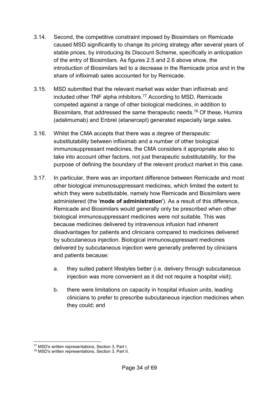- 3.14. Second, the competitive constraint imposed by Biosimilars on Remicade caused MSD significantly to change its pricing strategy after several years of stable prices, by introducing its Discount Scheme, specifically in anticipation of the entry of Biosimilars. As figures 2.5 and 2.6 above show, the introduction of Biosimilars led to a decrease in the Remicade price and in the share of infliximab sales accounted for by Remicade.
- 3.15. MSD submitted that the relevant market was wider than infliximab and included other TNF alpha inhibitors.[77](#page-33-0) According to MSD, Remicade competed against a range of other biological medicines, in addition to Biosimilars, that addressed the same therapeutic needs.<sup>[78](#page-33-1)</sup> Of these, Humira (adalimumab) and Enbrel (etanercept) generated especially large sales.
- 3.16. Whilst the CMA accepts that there was a degree of therapeutic substitutability between infliximab and a number of other biological immunosuppressant medicines, the CMA considers it appropriate also to take into account other factors, not just therapeutic substitutability, for the purpose of defining the boundary of the relevant product market in this case.
- 3.17. In particular, there was an important difference between Remicade and most other biological immunosuppressant medicines, which limited the extent to which they were substitutable, namely how Remicade and Biosimilars were administered (the '**mode of administration**'). As a result of this difference, Remicade and Biosimilars would generally only be prescribed when other biological immunosuppressant medicines were not suitable. This was because medicines delivered by intravenous infusion had inherent disadvantages for patients and clinicians compared to medicines delivered by subcutaneous injection. Biological immunosuppressant medicines delivered by subcutaneous injection were generally preferred by clinicians and patients because:
	- a. they suited patient lifestyles better (i.e. delivery through subcutaneous injection was more convenient as it did not require a hospital visit);
	- b. there were limitations on capacity in hospital infusion units, leading clinicians to prefer to prescribe subcutaneous injection medicines when they could; and

<span id="page-33-0"></span><sup>77</sup> MSD's written representations, Section 3, Part I.

<span id="page-33-1"></span><sup>77</sup> MSD's written representations, Section 3, Part I. 78 MSD's written representations, Section 3, Part II.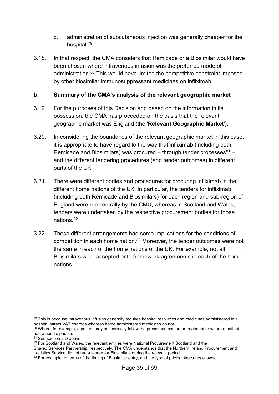- c. administration of subcutaneous injection was generally cheaper for the hospital.[79](#page-34-0)
- 3.18. In that respect, the CMA considers that Remicade or a Biosimilar would have been chosen where intravenous infusion was the preferred mode of administration.<sup>[80](#page-34-1)</sup> This would have limited the competitive constraint imposed by other biosimilar immunosuppressant medicines on infliximab.

#### **b. Summary of the CMA's analysis of the relevant geographic market**

- 3.19. For the purposes of this Decision and based on the information in its possession, the CMA has proceeded on the basis that the relevant geographic market was England (the '**Relevant Geographic Market**').
- 3.20. In considering the boundaries of the relevant geographic market in this case, it is appropriate to have regard to the way that infliximab (including both Remicade and Biosimilars) was procured – through tender processes $81 81$ and the different tendering procedures (and tender outcomes) in different parts of the UK.
- 3.21. There were different bodies and procedures for procuring infliximab in the different home nations of the UK. In particular, the tenders for infliximab (including both Remicade and Biosimilars) for each region and sub-region of England were run centrally by the CMU, whereas in Scotland and Wales, tenders were undertaken by the respective procurement bodies for those nations. [82](#page-34-3)
- 3.22. Those different arrangements had some implications for the conditions of competition in each home nation.[83](#page-34-4) Moreover, the tender outcomes were not the same in each of the home nations of the UK. For example, not all Biosimilars were accepted onto framework agreements in each of the home nations.

<span id="page-34-0"></span><sup>-</sup><sup>79</sup> This is because intravenous infusion generally requires hospital resources and medicines administered in a hospital attract VAT charges whereas home administered medicines do not.

<span id="page-34-1"></span><sup>80</sup> Where, for example, a patient may not correctly follow the prescribed course or treatment or where a patient had a needle phobia.

<span id="page-34-2"></span><sup>&</sup>lt;sup>81</sup> See sectio[n 2](#page-8-0)[.D](#page-20-0) above.

<span id="page-34-3"></span><sup>82</sup> For Scotland and Wales, the relevant entities were National Procurement Scotland and the

Shared Services Partnership, respectively. The CMA understands that the Northern Ireland Procurement and Logistics Service did not run a tender for Biosimilars during the relevant period.

<span id="page-34-4"></span><sup>&</sup>lt;sup>83</sup> For example, in terms of the timing of Biosimilar entry, and the type of pricing structures allowed.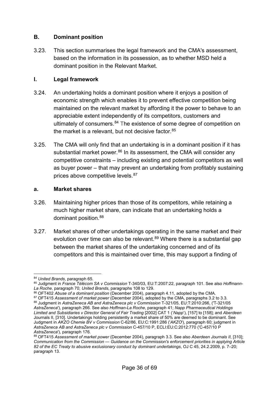#### <span id="page-35-0"></span>**B. Dominant position**

3.23. This section summarises the legal framework and the CMA's assessment, based on the information in its possession, as to whether MSD held a dominant position in the Relevant Market.

## **I. Legal framework**

- 3.24. An undertaking holds a dominant position where it enjoys a position of economic strength which enables it to prevent effective competition being maintained on the relevant market by affording it the power to behave to an appreciable extent independently of its competitors, customers and ultimately of consumers. $84$  The existence of some degree of competition on the market is a relevant, but not decisive factor.  $85$
- 3.25. The CMA will only find that an undertaking is in a dominant position if it has substantial market power.<sup>[86](#page-35-3)</sup> In its assessment, the CMA will consider any competitive constraints – including existing and potential competitors as well as buyer power – that may prevent an undertaking from profitably sustaining prices above competitive levels.<sup>[87](#page-35-4)</sup>

#### **a. Market shares**

- 3.26. Maintaining higher prices than those of its competitors, while retaining a much higher market share, can indicate that an undertaking holds a dominant position.<sup>[88](#page-35-5)</sup>
- 3.27. Market shares of other undertakings operating in the same market and their evolution over time can also be relevant.<sup>[89](#page-35-6)</sup> Where there is a substantial gap between the market shares of the undertaking concerned and of its competitors and this is maintained over time, this may support a finding of

<sup>-</sup><sup>84</sup> *United Brands*, paragraph 65.

<span id="page-35-2"></span><span id="page-35-1"></span><sup>85</sup> Judgment in *France Télécom SA v Commission* T-340/03, EU:T:2007:22, paragraph 101. See also *Hoffmann-La Roche*, paragraph 70; *United Brands*, paragraphs 108 to 129.

<span id="page-35-3"></span><sup>86</sup> OFT402 *Abuse of a dominant position* (December 2004), paragraph 4.11, adopted by the CMA.<br>87 OFT415 Assessment of market power (December 2004), adopted by the CMA, paragraphs 3.2 to 3.3.

<span id="page-35-5"></span><span id="page-35-4"></span><sup>&</sup>lt;sup>88</sup> Judgment in AstraZeneca AB and AstraZeneca plc v Commission T-321/05, EU:T:2010:266, ('T-321/05 *AstraZeneca*'), paragraph 266. See also *Hoffman-La Roche*, paragraph 41; *Napp Pharmaceutical Holdings Limited and Subsidiaries v Director General of Fair Trading* [2002] CAT 1 ('*Napp*'), [157] to [158]; and *Aberdeen*  Journals II, [310]. Undertakings holding persistently a market share of 50% are deemed to be dominant. See Judgment in *AKZO Chemie BV v Commission* C-62/86, EU:C:1991:286 ('*AKZO*'), paragraph 60; judgment in *AstraZeneca AB and AstraZeneca plc v Commission* C-457/10 P, ECLI:EU:C:2012:770 ('C-457/10 P *AstraZeneca*'), paragraph 176.

<span id="page-35-6"></span><sup>89</sup> OFT415 *Assessment of market power* (December 2004), paragraph 3.3. See also *Aberdeen Journals II*, [310]; *Communication from the Commission — Guidance on the Commission's enforcement priorities in applying Article 82 of the EC Treaty to abusive exclusionary conduct by dominant undertakings*, OJ C 45, 24.2.2009, p. 7–20; paragraph 13.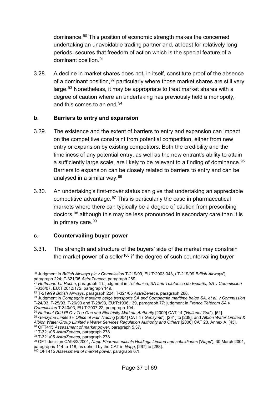dominance.[90](#page-36-0) This position of economic strength makes the concerned undertaking an unavoidable trading partner and, at least for relatively long periods, secures that freedom of action which is the special feature of a dominant position.[91](#page-36-1)

3.28. A decline in market shares does not, in itself, constitute proof of the absence of a dominant position,  $92$  particularly where those market shares are still very large.<sup>[93](#page-36-3)</sup> Nonetheless, it may be appropriate to treat market shares with a degree of caution where an undertaking has previously held a monopoly, and this comes to an end[.94](#page-36-4)

#### **b. Barriers to entry and expansion**

- 3.29. The existence and the extent of barriers to entry and expansion can impact on the competitive constraint from potential competition, either from new entry or expansion by existing competitors. Both the credibility and the timeliness of any potential entry, as well as the new entrant's ability to attain a sufficiently large scale, are likely to be relevant to a finding of dominance.  $95$ Barriers to expansion can be closely related to barriers to entry and can be analysed in a similar way.[96](#page-36-6)
- 3.30. An undertaking's first-mover status can give that undertaking an appreciable competitive advantage.[97](#page-36-7) This is particularly the case in pharmaceutical markets where there can typically be a degree of caution from prescribing doctors,<sup>[98](#page-36-8)</sup> although this may be less pronounced in secondary care than it is in primary care.<sup>[99](#page-36-9)</sup>

#### **c. Countervailing buyer power**

3.31. The strength and structure of the buyers' side of the market may constrain the market power of a seller<sup>[100](#page-36-10)</sup> if the degree of such countervailing buyer

<span id="page-36-0"></span><sup>&</sup>lt;u>.</u> <sup>90</sup> Judgment in *British Airways plc v Commission* T-219/99, EU:T:2003:343, ('T-219/99 *British Airways*'), paragraph 224; T-321/05 *AstraZeneca*, paragraph 289.

<span id="page-36-1"></span><sup>91</sup> *Hoffmann-La Roche*, paragraph 41; judgment in *Telefónica, SA and Telefónica de España, SA v Commission*  T-336/07, EU:T:2012:172, paragraph 149. 92 T-219/99 *British Airways*, paragraph 224; T-321/05 *AstraZeneca*, paragraph 288.

<span id="page-36-3"></span><span id="page-36-2"></span><sup>93</sup> Judgment in *Compagnie maritime belge transports SA and Compagnie maritime belge SA, et al. v Commission* T-24/93, T-25/93, T-26/93 and T-28/93, EU:T:1996:139, paragraph 77; judgment in *France Télécom SA v Commission* T-340/03, EU:T:2007:22, paragraph 104.

<span id="page-36-5"></span><span id="page-36-4"></span><sup>94</sup> National Grid PLC v The Gas and Electricity Markets Authority [2009] CAT 14 ('National Grid'), [51].<br>95 Genzyme Limited v Office of Fair Trading [2004] CAT 4 ('Genzyme'), [231] to [239]; and Albion Water Limited & *Albion Water Group Limited v Water Services Regulation Authority and Others* [2006] CAT 23, Annex A, [43].

<span id="page-36-7"></span><span id="page-36-6"></span><sup>&</sup>lt;sup>97</sup> T-321/05 AstraZeneca, paragraph 278.<br><sup>98</sup> T-321/05 AstraZeneca, paragraph 278.

<span id="page-36-9"></span><span id="page-36-8"></span><sup>&</sup>lt;sup>99</sup> OFT decision CA98/2/2001, *Napp Pharmaceuticals Holdings Limited and subsidiaries* ('*Napp*'), 30 March 2001, paragraphs 114 to 118, as upheld by the CAT in *Napp*, [267] to [288].

<span id="page-36-10"></span><sup>100</sup> OFT415 *Assessment of market power*, paragraph 6.1.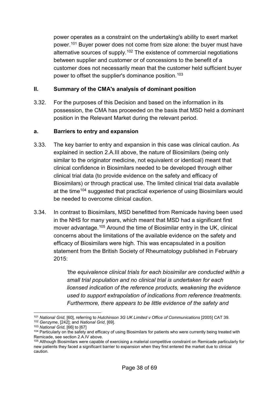power operates as a constraint on the undertaking's ability to exert market power.[101](#page-37-0) Buyer power does not come from size alone: the buyer must have alternative sources of supply.<sup>[102](#page-37-1)</sup> The existence of commercial negotiations between supplier and customer or of concessions to the benefit of a customer does not necessarily mean that the customer held sufficient buyer power to offset the supplier's dominance position. [103](#page-37-2)

#### <span id="page-37-5"></span>**II. Summary of the CMA's analysis of dominant position**

3.32. For the purposes of this Decision and based on the information in its possession, the CMA has proceeded on the basis that MSD held a dominant position in the Relevant Market during the relevant period.

#### <span id="page-37-6"></span>**a. Barriers to entry and expansion**

- 3.33. The key barrier to entry and expansion in this case was clinical caution. As explained in section [2](#page-8-0)[.A](#page-8-1)[.III](#page-9-2) above, the nature of Biosimilars (being only similar to the originator medicine, not equivalent or identical) meant that clinical confidence in Biosimilars needed to be developed through either clinical trial data (to provide evidence on the safety and efficacy of Biosimilars) or through practical use. The limited clinical trial data available at the time<sup>[104](#page-37-3)</sup> suggested that practical experience of using Biosimilars would be needed to overcome clinical caution.
- 3.34. In contrast to Biosimilars, MSD benefitted from Remicade having been used in the NHS for many years, which meant that MSD had a significant first mover advantage. [105](#page-37-4) Around the time of Biosimilar entry in the UK, clinical concerns about the limitations of the available evidence on the safety and efficacy of Biosimilars were high. This was encapsulated in a position statement from the British Society of Rheumatology published in February 2015:

*'the equivalence clinical trials for each biosimilar are conducted within a small trial population and no clinical trial is undertaken for each licensed indication of the reference products, weakening the evidence used to support extrapolation of indications from reference treatments. Furthermore, there appears to be little evidence of the safety and* 

<sup>-</sup><sup>101</sup> *National Grid*, [60], referring to *Hutchinson 3G UK Limited v Office of Communications* [2005] CAT 39.

<span id="page-37-1"></span><span id="page-37-0"></span><sup>102</sup> *Genzyme*, [242]; and *National Grid*, [69]. 103 *National Grid*, [66] to [67]

<span id="page-37-3"></span><span id="page-37-2"></span><sup>&</sup>lt;sup>104</sup> Particularly on the safety and efficacy of using Biosimilars for patients who were currently being treated with Remicade, see sectio[n 2.](#page-8-0)[A](#page-8-1)[.IV](#page-11-0) above.

<span id="page-37-4"></span><sup>&</sup>lt;sup>105</sup> Although Biosimilars were capable of exercising a material competitive constraint on Remicade particularly for new patients they faced a significant barrier to expansion when they first entered the market due to clinical caution.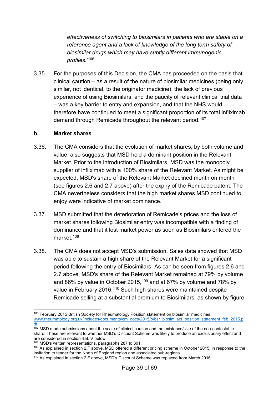*effectiveness of switching to biosimilars in patients who are stable on a reference agent and a lack of knowledge of the long term safety of biosimilar drugs which may have subtly different immunogenic profiles.'*[106](#page-38-0)

3.35. For the purposes of this Decision, the CMA has proceeded on the basis that clinical caution – as a result of the nature of biosimilar medicines (being only similar, not identical, to the originator medicine), the lack of previous experience of using Biosimilars, and the paucity of relevant clinical trial data – was a key barrier to entry and expansion, and that the NHS would therefore have continued to meet a significant proportion of its total infliximab demand through Remicade throughout the relevant period. [107](#page-38-1)

#### **b. Market shares**

- 3.36. The CMA considers that the evolution of market shares, by both volume and value, also suggests that MSD held a dominant position in the Relevant Market. Prior to the introduction of Biosimilars, MSD was the monopoly supplier of infliximab with a 100% share of the Relevant Market. As might be expected, MSD's share of the Relevant Market declined month on month (see figures 2.6 and 2.7 above) after the expiry of the Remicade patent. The CMA nevertheless considers that the high market shares MSD continued to enjoy were indicative of market dominance.
- 3.37. MSD submitted that the deterioration of Remicade's prices and the loss of market shares following Biosimilar entry was incompatible with a finding of dominance and that it lost market power as soon as Biosimilars entered the market. [108](#page-38-2)
- 3.38. The CMA does not accept MSD's submission. Sales data showed that MSD was able to sustain a high share of the Relevant Market for a significant period following the entry of Biosimilars. As can be seen from figures 2.6 and 2.7 above, MSD's share of the Relevant Market remained at 79% by volume and 86% by value in October 2015, $^{109}$  $^{109}$  $^{109}$  and at 67% by volume and 78% by value in February 2016.<sup>[110](#page-38-4)</sup> Such high shares were maintained despite Remicade selling at a substantial premium to Biosimilars, as shown by figure

<span id="page-38-0"></span><sup>-</sup><sup>106</sup> February 2015 British Society for Rheumatology Position statement on biosimilar medicines: [www.rheumatology.org.uk/includes/documents/cm\\_docs/2015/b/bsr\\_biosimilars\\_position\\_statement\\_feb\\_2015.p](http://www.rheumatology.org.uk/includes/documents/cm_docs/2015/b/bsr_biosimilars_position_statement_feb_2015.pdf)

<span id="page-38-1"></span> $\frac{df}{107}$  MSD made submissions about the scale of clinical caution and the existence/size of the non-contestable share. These are relevant to whether MSD's Discount Scheme was likely to produce an exclusionary effect and are considered in section 4.B.IV below.

<sup>&</sup>lt;sup>108</sup> MSD's written representations, paragraphs 287 to 301.

<span id="page-38-3"></span><span id="page-38-2"></span><sup>&</sup>lt;sup>109</sup> As explained in section [2](#page-8-0)[.F](#page-26-0) above, MSD offered a different pricing scheme in October 2015, in response to the invitation to tender for the North of England region and associated sub-regions.

<span id="page-38-4"></span><sup>110</sup> As explained in section [2](#page-8-0)[.F](#page-26-0) above, MSD's Discount Scheme was replaced from March 2016.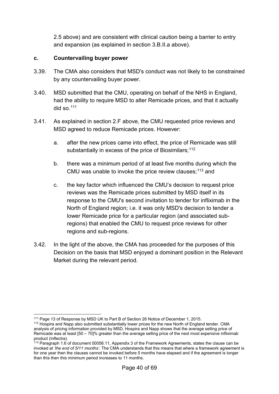2.5 above) and are consistent with clinical caution being a barrier to entry and expansion (as explained in section [3](#page-30-0)[.B](#page-35-0)[.II.](#page-37-5)[a](#page-37-6) above).

#### **c. Countervailing buyer power**

- 3.39. The CMA also considers that MSD's conduct was not likely to be constrained by any countervailing buyer power.
- 3.40. MSD submitted that the CMU, operating on behalf of the NHS in England, had the ability to require MSD to alter Remicade prices, and that it actually did so. [111](#page-39-0)
- 3.41. As explained in section [2](#page-8-0)[.F](#page-26-0) above, the CMU requested price reviews and MSD agreed to reduce Remicade prices. However:
	- a. after the new prices came into effect, the price of Remicade was still substantially in excess of the price of Biosimilars;<sup>[112](#page-39-1)</sup>
	- b. there was a minimum period of at least five months during which the CMU was unable to invoke the price review clauses;<sup>[113](#page-39-2)</sup> and
	- c. the key factor which influenced the CMU's decision to request price reviews was the Remicade prices submitted by MSD itself in its response to the CMU's second invitation to tender for infliximab in the North of England region; i.e. it was only MSD's decision to tender a lower Remicade price for a particular region (and associated subregions) that enabled the CMU to request price reviews for other regions and sub-regions.
- 3.42. In the light of the above, the CMA has proceeded for the purposes of this Decision on the basis that MSD enjoyed a dominant position in the Relevant Market during the relevant period.

<sup>-</sup>

<span id="page-39-1"></span><span id="page-39-0"></span><sup>&</sup>lt;sup>111</sup> Page 13 of Response by MSD UK to Part B of Section 26 Notice of December 1, 2015.<br><sup>112</sup> Hospira and Napp also submitted substantially lower prices for the new North of England tender. CMA analysis of pricing information provided by MSD, Hospira and Napp shows that the average selling price of Remicade was at least [50 – 70]% greater than the average selling price of the next most expensive infliximab product (Inflectra).

<span id="page-39-2"></span><sup>&</sup>lt;sup>113</sup> Paragraph 1.6 of document 00056.11, Appendix 3 of the Framework Agreements, states the clause can be invoked at *'the end of 5/11 months'*. The CMA understands that this means that where a framework agreement is for one year then the clauses cannot be invoked before 5 months have elapsed and if the agreement is longer than this then this minimum period increases to 11 months.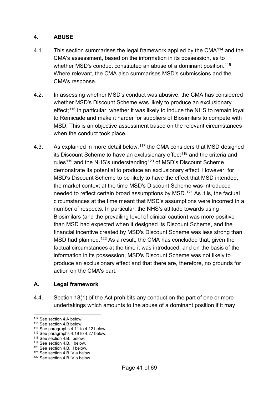#### <span id="page-40-0"></span>**4. ABUSE**

- 4.1. This section summarises the legal framework applied by the CMA<sup>[114](#page-40-2)</sup> and the CMA's assessment, based on the information in its possession, as to whether MSD's conduct constituted an abuse of a dominant position. [115](#page-40-3) Where relevant, the CMA also summarises MSD's submissions and the CMA's response.
- 4.2. In assessing whether MSD's conduct was abusive, the CMA has considered whether MSD's Discount Scheme was likely to produce an exclusionary effect;<sup>[116](#page-40-4)</sup> in particular, whether it was likely to induce the NHS to remain loyal to Remicade and make it harder for suppliers of Biosimilars to compete with MSD. This is an objective assessment based on the relevant circumstances when the conduct took place.
- 4.3. As explained in more detail below, <sup>[117](#page-40-5)</sup> the CMA considers that MSD designed its Discount Scheme to have an exclusionary effect<sup>[118](#page-40-6)</sup> and the criteria and rules<sup>[119](#page-40-7)</sup> and the NHS's understanding<sup>[120](#page-40-8)</sup> of MSD's Discount Scheme demonstrate its potential to produce an exclusionary effect. However, for MSD's Discount Scheme to be likely to have the effect that MSD intended, the market context at the time MSD's Discount Scheme was introduced needed to reflect certain broad assumptions by MSD. [121](#page-40-9) As it is, the factual circumstances at the time meant that MSD's assumptions were incorrect in a number of respects. In particular, the NHS's attitude towards using Biosimilars (and the prevailing level of clinical caution) was more positive than MSD had expected when it designed its Discount Scheme, and the financial incentive created by MSD's Discount Scheme was less strong than MSD had planned.<sup>[122](#page-40-10)</sup> As a result, the CMA has concluded that, given the factual circumstances at the time it was introduced, and on the basis of the information in its possession, MSD's Discount Scheme was not likely to produce an exclusionary effect and that there are, therefore, no grounds for action on the CMA's part.

## <span id="page-40-1"></span>**A. Legal framework**

4.4. Section 18(1) of the Act prohibits any conduct on the part of one or more undertakings which amounts to the abuse of a dominant position if it may

<sup>-</sup><sup>114</sup> See section [4](#page-40-0)[.A](#page-40-1) below.

<span id="page-40-3"></span><span id="page-40-2"></span><sup>115</sup> See section [4](#page-40-0)[.B](#page-45-0) below.

<sup>116</sup> See paragraphs [4.11](#page-42-0) to [4.12](#page-42-1) below.

<span id="page-40-5"></span><span id="page-40-4"></span> $117$  See paragraphs [4.19](#page-45-1) to [4.27](#page-46-0) below.<br> $118$  See section 4.B.I below.

<span id="page-40-10"></span><span id="page-40-9"></span>

<span id="page-40-8"></span><span id="page-40-7"></span><span id="page-40-6"></span><sup>&</sup>lt;sup>119</sup> See section 4.B.II below.<br><sup>120</sup> See section 4.B.III below.<br><sup>121</sup> See section 4.B.IV.a below. <sup>122</sup> See section 4.B.IV.b below.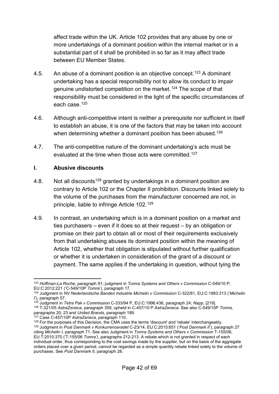affect trade within the UK. Article 102 provides that any abuse by one or more undertakings of a dominant position within the internal market or in a substantial part of it shall be prohibited in so far as it may affect trade between EU Member States.

- <span id="page-41-7"></span>4.5. An abuse of a dominant position is an objective concept. $^{123}$  $^{123}$  $^{123}$  A dominant undertaking has a special responsibility not to allow its conduct to impair genuine undistorted competition on the market.<sup>[124](#page-41-1)</sup> The scope of that responsibility must be considered in the light of the specific circumstances of each case.[125](#page-41-2)
- 4.6. Although anti-competitive intent is neither a prerequisite nor sufficient in itself to establish an abuse, it is one of the factors that may be taken into account when determining whether a dominant position has been abused.<sup>[126](#page-41-3)</sup>
- <span id="page-41-8"></span>4.7. The anti-competitive nature of the dominant undertaking's acts must be evaluated at the time when those acts were committed.<sup>[127](#page-41-4)</sup>

#### **I. Abusive discounts**

- 4.8. Not all discounts<sup>[128](#page-41-5)</sup> granted by undertakings in a dominant position are contrary to Article 102 or the Chapter II prohibition. Discounts linked solely to the volume of the purchases from the manufacturer concerned are not, in principle, liable to infringe Article 102.[129](#page-41-6)
- 4.9. In contrast, an undertaking which is in a dominant position on a market and ties purchasers – even if it does so at their request – by an obligation or promise on their part to obtain all or most of their requirements exclusively from that undertaking abuses its dominant position within the meaning of Article 102, whether that obligation is stipulated without further qualification or whether it is undertaken in consideration of the grant of a discount or payment. The same applies if the undertaking in question, without tying the

<span id="page-41-0"></span><sup>&</sup>lt;u>.</u> <sup>123</sup> *Hoffman-La Roche*, paragraph 91; judgment in *Tomra Systems and Others v Commission* C-549/10 P, EU:C:2012:221 ('C-549/10P *Tomra*'), paragraph 17. 124 Judgment in *NV Nederlandsche Banden Industrie Michelin v Commission* C-322/81, EU:C:1983:313 ('*Michelin* 

<span id="page-41-1"></span>*I*'), paragraph 57.<br><sup>125</sup> Judgment in *Tetra Pak v Commission* C-333/94 P, EU:C:1996:436, paragraph 24; *Napp*, [219].

<span id="page-41-3"></span><span id="page-41-2"></span><sup>&</sup>lt;sup>126</sup> T-321/05 AstraZeneca, paragraph 359, upheld in C-457/10 P AstraZeneca. See also C-549/10P Tomra, paragraphs 20, 23 and *United Brands*, paragraph 189.

<sup>127</sup> Case C-457/10P *AstraZeneca*, paragraph 110.

<span id="page-41-5"></span><span id="page-41-4"></span><sup>128</sup> For the purposes of this Decision, the CMA uses the terms 'discount' and 'rebate' interchangeably.

<span id="page-41-6"></span><sup>129</sup> Judgment in *Post Danmark v Konkurrenceradet* C-23/14, EU:C:2015:651 ('*Post Danmark II*'), paragraph 27 citing *Michelin I*, paragraph 71. See also Judgment in *Tomra Systems and Others v Commission* T-155/06, EU:T:2010:370 ('T-155/06 *Tomra')*, paragraphs 212-213. A rebate which is not granted in respect of each individual order, thus corresponding to the cost savings made by the supplier, but on the basis of the aggregate orders placed over a given period, cannot be regarded as a simple quantity rebate linked solely to the volume of purchases. See *Post Danmark II*, paragraph 28.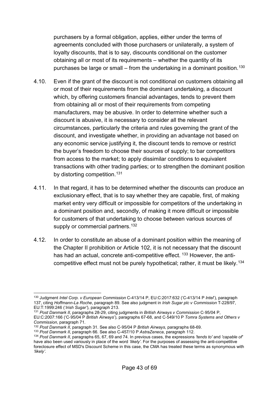purchasers by a formal obligation, applies, either under the terms of agreements concluded with those purchasers or unilaterally, a system of loyalty discounts, that is to say, discounts conditional on the customer obtaining all or most of its requirements – whether the quantity of its purchases be large or small – from the undertaking in a dominant position.<sup>[130](#page-42-2)</sup>

- <span id="page-42-7"></span>4.10. Even if the grant of the discount is not conditional on customers obtaining all or most of their requirements from the dominant undertaking, a discount which, by offering customers financial advantages, tends to prevent them from obtaining all or most of their requirements from competing manufacturers, may be abusive. In order to determine whether such a discount is abusive, it is necessary to consider all the relevant circumstances, particularly the criteria and rules governing the grant of the discount, and investigate whether, in providing an advantage not based on any economic service justifying it, the discount tends to remove or restrict the buyer's freedom to choose their sources of supply; to bar competitors from access to the market; to apply dissimilar conditions to equivalent transactions with other trading parties; or to strengthen the dominant position by distorting competition.<sup>[131](#page-42-3)</sup>
- <span id="page-42-0"></span>4.11. In that regard, it has to be determined whether the discounts can produce an exclusionary effect, that is to say whether they are capable, first, of making market entry very difficult or impossible for competitors of the undertaking in a dominant position and, secondly, of making it more difficult or impossible for customers of that undertaking to choose between various sources of supply or commercial partners.<sup>[132](#page-42-4)</sup>
- <span id="page-42-1"></span>4.12. In order to constitute an abuse of a dominant position within the meaning of the Chapter II prohibition or Article 102, it is not necessary that the discount has had an actual, concrete anti-competitive effect. <sup>[133](#page-42-5)</sup> However, the anti-competitive effect must not be purely hypothetical; rather, it must be likely.<sup>[134](#page-42-6)</sup>

<span id="page-42-2"></span><sup>-</sup><sup>130</sup> Judgment *Intel Corp. v European Commission* C-413/14 P, EU:C:2017:632 ('C-413/14 P *Intel*'), paragraph 137, citing *Hoffmann-La Roche*, paragraph 89. See also judgment in *Irish Sugar plc v Commission* T-228/97,

<span id="page-42-3"></span><sup>&</sup>lt;sup>131</sup> Post Danmark II, paragraphs 28-29, citing judgments in *British Airways v Commission* C-95/04 P, EU:C:2007:166 ('C‑95/04 P *British Airways*'), paragraphs 67-68, and C‑549/10 P *Tomra Systems and Others v* 

*Commission*, paragraph 71.

<span id="page-42-6"></span><span id="page-42-5"></span><span id="page-42-4"></span><sup>&</sup>lt;sup>133</sup> Post Danmark II, paragraph 66. See also C-457/10 P AstraZeneca, paragraph 112.<br><sup>134</sup> Post Danmark II, paragraphs 65, 67, 69 and 74. In previous cases, the expressions 'tends to' and 'capable of' have also been used variously in place of the word *'likely'*. For the purposes of assessing the anti-competitive foreclosure effect of MSD's Discount Scheme in this case, the CMA has treated these terms as synonymous with *'likely'*.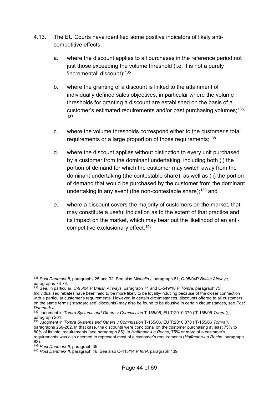- <span id="page-43-6"></span>4.13. The EU Courts have identified some positive indicators of likely anticompetitive effects:
	- a. where the discount applies to all purchases in the reference period not just those exceeding the volume threshold (i.e. it is not a purely 'incremental' discount);[135](#page-43-0)
	- b. where the granting of a discount is linked to the attainment of individually defined sales objectives, in particular where the volume thresholds for granting a discount are established on the basis of a customer's estimated requirements and/or past purchasing volumes;<sup>[136](#page-43-1),</sup> [137](#page-43-2)
	- c. where the volume thresholds correspond either to the customer's total requirements or a large proportion of those requirements;<sup>138</sup>
	- d. where the discount applies without distinction to every unit purchased by a customer from the dominant undertaking, including both (i) the portion of demand for which the customer may switch away from the dominant undertaking (the contestable share); as well as (ii) the portion of demand that would be purchased by the customer from the dominant undertaking in any event (the non-contestable share);<sup>[139](#page-43-4)</sup> and
	- e. where a discount covers the majority of customers on the market, that may constitute a useful indication as to the extent of that practice and its impact on the market, which may bear out the likelihood of an anti-competitive exclusionary effect.<sup>[140](#page-43-5)</sup>

<span id="page-43-0"></span><sup>-</sup><sup>135</sup> *Post Danmark II*, paragraphs 25 and 32. See also *Michelin I*, paragraph 81; C-95/04P *British Airways*,

<span id="page-43-1"></span><sup>&</sup>lt;sup>136</sup> See, in particular, C-95/04 P *British Airways*, paragraph 71 and C-549/10 P *Tomra*, paragraph 75. Individualised rebates have been held to be more likely to be loyalty-inducing because of the closer connection with a particular customer's requirements. However, in certain circumstances, discounts offered to all customers on the same terms ('standardised' discounts) may also be found to be abusive in certain circumstances, see *Post* 

<span id="page-43-2"></span>*Danmark II*. 137 Judgment in *Tomra Systems and Others v Commission* T-155/06, EU:T:2010:370 ('T-155/06 *Tomra')*, paragraph 261.

<span id="page-43-3"></span><sup>138</sup> Judgment in *Tomra Systems and Others v Commission* T-155/06, EU:T:2010:370 ('T-155/06 *Tomra')*, paragraphs 260-262. In that case, the discounts were conditional on the customer purchasing at least 75% to 80% of its total requirements (see paragraph 85). In *Hoffmann-La Roche,* 75% or more of a customer's requirements was also deemed to represent most of a customer's requirements (*Hoffmann-La Roche*, paragraph 83).

<span id="page-43-4"></span><sup>139</sup> *Post Danmark II*, paragraph 35.

<span id="page-43-5"></span><sup>140</sup> *Post Danmark II*, paragraph 46. See also C-413/14 P *Intel*, paragraph 139.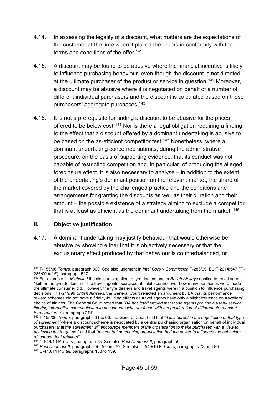- <span id="page-44-6"></span>4.14. In assessing the legality of a discount, what matters are the expectations of the customer at the time when it placed the orders in conformity with the terms and conditions of the offer.<sup>[141](#page-44-0)</sup>
- 4.15. A discount may be found to be abusive where the financial incentive is likely to influence purchasing behaviour, even though the discount is not directed at the ultimate purchaser of the product or service in question.<sup>[142](#page-44-1)</sup> Moreover, a discount may be abusive where it is negotiated on behalf of a number of different individual purchasers and the discount is calculated based on those purchasers' aggregate purchases.<sup>143</sup>
- <span id="page-44-7"></span>4.16. It is not a prerequisite for finding a discount to be abusive for the prices offered to be below cost.<sup>[144](#page-44-3)</sup> Nor is there a legal obligation requiring a finding to the effect that a discount offered by a dominant undertaking is abusive to be based on the as-efficient competitor test.<sup>[145](#page-44-4)</sup> Nonetheless, where a dominant undertaking concerned submits, during the administrative procedure, on the basis of supporting evidence, that its conduct was not capable of restricting competition and, in particular, of producing the alleged foreclosure effect, it is also necessary to analyse – in addition to the extent of the undertaking's dominant position on the relevant market, the share of the market covered by the challenged practice and the conditions and arrangements for granting the discounts as well as their duration and their amount – the possible existence of a strategy aiming to exclude a competitor that is at least as efficient as the dominant undertaking from the market. <sup>[146](#page-44-5)</sup>

#### **II. Objective justification**

4.17. A dominant undertaking may justify behaviour that would otherwise be abusive by showing either that it is objectively necessary or that the exclusionary effect produced by that behaviour is counterbalanced, or

<span id="page-44-0"></span><sup>&</sup>lt;u>.</u> 141 T-155/06 *Tomra*, paragraph 300. See also judgment in *Intel Corp v Commission* T-286/09, EU:T:2014:547 ('T-

<span id="page-44-1"></span><sup>&</sup>lt;sup>142</sup> For example, in *Michelin I* the discounts applied to tyre dealers and in *British Airways* applied to travel agents. Neither the tyre dealers, nor the travel agents exercised absolute control over how many purchases were made – the ultimate consumer did. However, the tyre dealers and travel agents were in a position to influence purchasing decisions. In T-219/99 *British Airways*, the General Court rejected an argument by BA that its performance reward schemes did not have a fidelity-building effects as travel agents have only a slight influence on travellers' choice of airlines. The General Court noted that "*BA has itself argued that those agents provide a useful service filtering information communicated to passengers who are faced with the proliferation of different air transport* 

<span id="page-44-2"></span><sup>&</sup>lt;sup>143</sup> T-155/06 *Tomra, paragraphs 61 to 66, the General Court held that "<i>it is inherent in the negotiation of that type of agreement* [where a discount scheme is negotiated by a central purchasing organisation on behalf of individual purchasers] *that the agreement will encourage members of the organisation to make purchases with a view to achieving the target set*" and that "*the central purchasing organisation had the power to influence the behaviour* 

<span id="page-44-4"></span><span id="page-44-3"></span><sup>&</sup>lt;sup>144</sup> C-549/10 P *Tomra, paragraph 73.* See also *Post Danmark II*, paragraph 56.<br><sup>145</sup> Post Danmark II, paragraphs 56, 57 and 62. See also C-549/10 P *Tomra, paragraphs 73 and 80.*<br><sup>146</sup> C-413/14 P *Intel*, paragraphs 13

<span id="page-44-5"></span>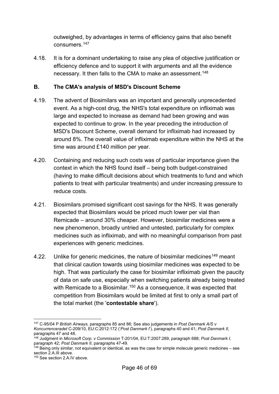outweighed, by advantages in terms of efficiency gains that also benefit consumers.[147](#page-45-2)

4.18. It is for a dominant undertaking to raise any plea of objective justification or efficiency defence and to support it with arguments and all the evidence necessary. It then falls to the CMA to make an assessment.<sup>[148](#page-45-3)</sup>

#### <span id="page-45-0"></span>**B. The CMA's analysis of MSD's Discount Scheme**

- <span id="page-45-1"></span>4.19. The advent of Biosimilars was an important and generally unprecedented event. As a high-cost drug, the NHS's total expenditure on infliximab was large and expected to increase as demand had been growing and was expected to continue to grow. In the year preceding the introduction of MSD's Discount Scheme, overall demand for infliximab had increased by around 8%. The overall value of infliximab expenditure within the NHS at the time was around £140 million per year.
- 4.20. Containing and reducing such costs was of particular importance given the context in which the NHS found itself – being both budget-constrained (having to make difficult decisions about which treatments to fund and which patients to treat with particular treatments) and under increasing pressure to reduce costs.
- 4.21. Biosimilars promised significant cost savings for the NHS. It was generally expected that Biosimilars would be priced much lower per vial than Remicade – around 30% cheaper. However, biosimilar medicines were a new phenomenon, broadly untried and untested, particularly for complex medicines such as infliximab, and with no meaningful comparison from past experiences with generic medicines.
- 4.22. Unlike for generic medicines, the nature of biosimilar medicines<sup>[149](#page-45-4)</sup> meant that clinical caution towards using biosimilar medicines was expected to be high. That was particularly the case for biosimilar infliximab given the paucity of data on safe use, especially when switching patients already being treated with Remicade to a Biosimilar.<sup>[150](#page-45-5)</sup> As a consequence, it was expected that competition from Biosimilars would be limited at first to only a small part of the total market (the '**contestable share**').

<span id="page-45-2"></span><sup>&</sup>lt;u>.</u> 147 C-95/04 P *British Airways,* paragraphs 85 and 86; See also judgements in *Post Danmark A/S v Koncurrenceradet* C-209/10, EU:C:2012:172 ('*Post Danmark I*'), paragraphs 40 and 41; *Post Danmark II*, paragraphs 47 and 48.

<span id="page-45-3"></span><sup>148</sup> Judgment in *Microsoft Corp. v Commission* T-201/04, EU:T:2007:289, paragraph 688; *Post Danmark I*, paragraph 42; *Post Danmark II*, paragraphs 47-49.<br><sup>149</sup> Being only similar, not equivalent or identical, as was the case for simple molecule generic medicines – see

<span id="page-45-4"></span>section [2](#page-8-0)[.A.](#page-8-1)[III](#page-9-2) above.

<span id="page-45-5"></span><sup>150</sup> See section [2](#page-8-0)[.A.](#page-8-1)[IV](#page-11-0) above.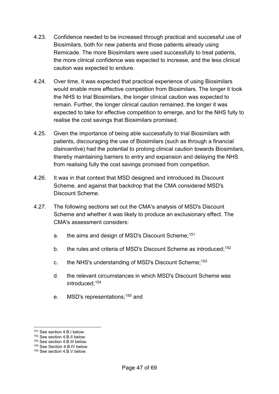- 4.23. Confidence needed to be increased through practical and successful use of Biosimilars, both for new patients and those patients already using Remicade. The more Biosimilars were used successfully to treat patients, the more clinical confidence was expected to increase, and the less clinical caution was expected to endure.
- 4.24. Over time, it was expected that practical experience of using Biosimilars would enable more effective competition from Biosimilars. The longer it took the NHS to trial Biosimilars, the longer clinical caution was expected to remain. Further, the longer clinical caution remained, the longer it was expected to take for effective competition to emerge, and for the NHS fully to realise the cost savings that Biosimilars promised.
- 4.25. Given the importance of being able successfully to trial Biosimilars with patients, discouraging the use of Biosimilars (such as through a financial disincentive) had the potential to prolong clinical caution towards Biosimilars, thereby maintaining barriers to entry and expansion and delaying the NHS from realising fully the cost savings promised from competition.
- 4.26. It was in that context that MSD designed and introduced its Discount Scheme, and against that backdrop that the CMA considered MSD's Discount Scheme.
- <span id="page-46-0"></span>4.27. The following sections set out the CMA's analysis of MSD's Discount Scheme and whether it was likely to produce an exclusionary effect. The CMA's assessment considers:
	- a. the aims and design of MSD's Discount Scheme; [151](#page-46-1)
	- b. the rules and criteria of MSD's Discount Scheme as introduced;<sup>[152](#page-46-2)</sup>
	- c. the NHS's understanding of MSD's Discount Scheme; [153](#page-46-3)
	- d. the relevant circumstances in which MSD's Discount Scheme was introduced; [154](#page-46-4)
	- e. MSD's representations;<sup>[155](#page-46-5)</sup> and

<sup>-</sup>

<span id="page-46-5"></span><span id="page-46-4"></span><span id="page-46-3"></span>

<span id="page-46-2"></span><span id="page-46-1"></span><sup>&</sup>lt;sup>151</sup> See section [4](#page-40-0)[.B.](#page-45-0)I below.<br><sup>152</sup> See section 4.B.III below.<br><sup>153</sup> See Section 4.B.I[V](#page-60-0) below.<br><sup>154</sup> See section 4.B.V below.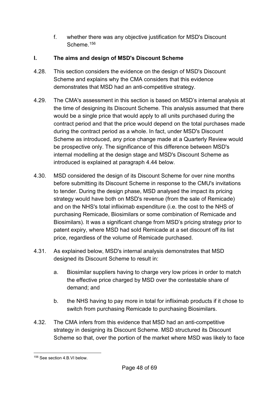f. whether there was any objective justification for MSD's Discount Scheme.[156](#page-47-1)

## <span id="page-47-0"></span>**I. The aims and design of MSD's Discount Scheme**

- 4.28. This section considers the evidence on the design of MSD's Discount Scheme and explains why the CMA considers that this evidence demonstrates that MSD had an anti-competitive strategy.
- 4.29. The CMA's assessment in this section is based on MSD's internal analysis at the time of designing its Discount Scheme. This analysis assumed that there would be a single price that would apply to all units purchased during the contract period and that the price would depend on the total purchases made during the contract period as a whole. In fact, under MSD's Discount Scheme as introduced, any price change made at a Quarterly Review would be prospective only. The significance of this difference between MSD's internal modelling at the design stage and MSD's Discount Scheme as introduced is explained at paragraph 4.44 below.
- 4.30. MSD considered the design of its Discount Scheme for over nine months before submitting its Discount Scheme in response to the CMU's invitations to tender. During the design phase, MSD analysed the impact its pricing strategy would have both on MSD's revenue (from the sale of Remicade) and on the NHS's total infliximab expenditure (i.e. the cost to the NHS of purchasing Remicade, Biosimilars or some combination of Remicade and Biosimilars). It was a significant change from MSD's pricing strategy prior to patent expiry, where MSD had sold Remicade at a set discount off its list price, regardless of the volume of Remicade purchased.
- 4.31. As explained below, MSD's internal analysis demonstrates that MSD designed its Discount Scheme to result in:
	- a. Biosimilar suppliers having to charge very low prices in order to match the effective price charged by MSD over the contestable share of demand; and
	- b. the NHS having to pay more in total for infliximab products if it chose to switch from purchasing Remicade to purchasing Biosimilars.
- 4.32. The CMA infers from this evidence that MSD had an anti-competitive strategy in designing its Discount Scheme. MSD structured its Discount Scheme so that, over the portion of the market where MSD was likely to face

<span id="page-47-1"></span><sup>-</sup><sup>156</sup> See section [4](#page-40-0)[.B.](#page-45-0)[VI](#page-66-0) below.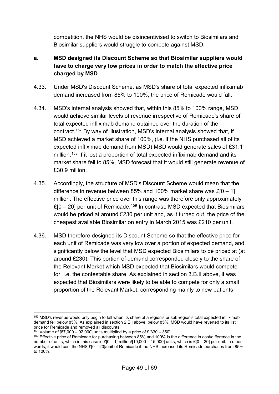competition, the NHS would be disincentivised to switch to Biosimilars and Biosimilar suppliers would struggle to compete against MSD.

## **a. MSD designed its Discount Scheme so that Biosimilar suppliers would have to charge very low prices in order to match the effective price charged by MSD**

- 4.33. Under MSD's Discount Scheme, as MSD's share of total expected infliximab demand increased from 85% to 100%, the price of Remicade would fall.
- 4.34. MSD's internal analysis showed that, within this 85% to 100% range, MSD would achieve similar levels of revenue irrespective of Remicade's share of total expected infliximab demand obtained over the duration of the contract.[157](#page-48-0) By way of illustration, MSD's internal analysis showed that, if MSD achieved a market share of 100%, (i.e. if the NHS purchased all of its expected infliximab demand from MSD) MSD would generate sales of £31.1 million.<sup>158</sup> If it lost a proportion of total expected infliximab demand and its market share fell to 85%, MSD forecast that it would still generate revenue of £30.9 million.
- 4.35. Accordingly, the structure of MSD's Discount Scheme would mean that the difference in revenue between 85% and 100% market share was  $£[0 – 1]$ million. The effective price over this range was therefore only approximately  $£[0 – 20]$  per unit of Remicade.<sup>[159](#page-48-2)</sup> In contrast, MSD expected that Biosimilars would be priced at around £230 per unit and, as it turned out, the price of the cheapest available Biosimilar on entry in March 2015 was £210 per unit.
- 4.36. MSD therefore designed its Discount Scheme so that the effective price for each unit of Remicade was very low over a portion of expected demand, and significantly below the level that MSD expected Biosimilars to be priced at (at around £230). This portion of demand corresponded closely to the share of the Relevant Market which MSD expected that Biosimilars would compete for, i.e. the contestable share. As explained in section 3.B.II above, it was expected that Biosimilars were likely to be able to compete for only a small proportion of the Relevant Market, corresponding mainly to new patients

<span id="page-48-0"></span><sup>-</sup><sup>157</sup> MSD's revenue would only begin to fall when its share of a region's or sub-region's total expected infliximab demand fell below 85%. As explained in sectio[n 2](#page-8-0)[.E](#page-21-0)[.I](#page-22-1) above, below 85%, MSD would have reverted to its list price for Remicade and removed all discounts.<br><sup>158</sup> Volume of [87,000 – 92,000] units multiplied by a price of £[330 – 350].

<span id="page-48-2"></span><span id="page-48-1"></span><sup>&</sup>lt;sup>159</sup> Effective price of Remicade for purchasing between 85% and 100% is the difference in cost/difference in the number of units, which in this case is £[0 – 1] million/[10,000 – 15,000] units, which is £[0 – 20] per unit. In other words, it would cost the NHS £[0 – 20]/unit of Remicade if the NHS increased its Remicade purchases from 85% to 100%.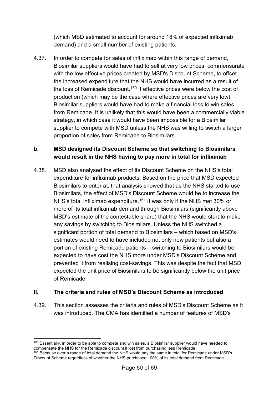(which MSD estimated to account for around 18% of expected infliximab demand) and a small number of existing patients.

4.37. In order to compete for sales of infliximab within this range of demand, Biosimilar suppliers would have had to sell at very low prices, commensurate with the low effective prices created by MSD's Discount Scheme, to offset the increased expenditure that the NHS would have incurred as a result of the loss of Remicade discount.<sup>[160](#page-49-1)</sup> If effective prices were below the cost of production (which may be the case where effective prices are very low), Biosimilar suppliers would have had to make a financial loss to win sales from Remicade. It is unlikely that this would have been a commercially viable strategy, in which case it would have been impossible for a Biosimilar supplier to compete with MSD unless the NHS was willing to switch a larger proportion of sales from Remicade to Biosimilars.

#### **b. MSD designed its Discount Scheme so that switching to Biosimilars would result in the NHS having to pay more in total for infliximab**

4.38. MSD also analysed the effect of its Discount Scheme on the NHS's total expenditure for infliximab products. Based on the price that MSD expected Biosimilars to enter at, that analysis showed that as the NHS started to use Biosimilars, the effect of MSD's Discount Scheme would be to increase the NHS's total infliximab expenditure.<sup>[161](#page-49-2)</sup> It was only if the NHS met 30% or more of its total infliximab demand through Biosimilars (significantly above MSD's estimate of the contestable share) that the NHS would start to make any savings by switching to Biosimilars. Unless the NHS switched a significant portion of total demand to Biosimilars – which based on MSD's estimates would need to have included not only new patients but also a portion of existing Remicade patients – switching to Biosimilars would be expected to have cost the NHS more under MSD's Discount Scheme and prevented it from realising cost-savings. This was despite the fact that MSD expected the unit price of Biosimilars to be significantly below the unit price of Remicade.

#### <span id="page-49-0"></span>**II. The criteria and rules of MSD's Discount Scheme as introduced**

4.39. This section assesses the criteria and rules of MSD's Discount Scheme as it was introduced. The CMA has identified a number of features of MSD's

<span id="page-49-1"></span><sup>-</sup><sup>160</sup> Essentially, in order to be able to compete and win sales, a Biosimilar supplier would have needed to compensate the NHS for the Remicade discount it lost from purchasing less Remicade.

<span id="page-49-2"></span><sup>&</sup>lt;sup>161</sup> Because over a range of total demand the NHS would pay the same in total for Remicade under MSD's Discount Scheme regardless of whether the NHS purchased 100% of its total demand from Remicade.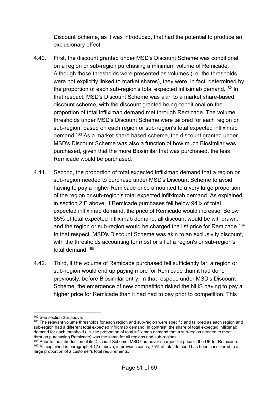Discount Scheme, as it was introduced, that had the potential to produce an exclusionary effect.

- 4.40. First, the discount granted under MSD's Discount Scheme was conditional on a region or sub-region purchasing a minimum volume of Remicade. Although those thresholds were presented as volumes (i.e. the thresholds were not explicitly linked to market shares), they were, in fact, determined by the proportion of each sub-region's total expected infliximab demand. [162](#page-50-0) In that respect, MSD's Discount Scheme was akin to a market share-based discount scheme, with the discount granted being conditional on the proportion of total infliximab demand met through Remicade. The volume thresholds under MSD's Discount Scheme were tailored for each region or sub-region, based on each region or sub-region's total expected infliximab demand.<sup>[163](#page-50-1)</sup> As a market-share based scheme, the discount granted under MSD's Discount Scheme was also a function of how much Biosimilar was purchased, given that the more Biosimilar that was purchased, the less Remicade would be purchased.
- 4.41. Second, the proportion of total expected infliximab demand that a region or sub-region needed to purchase under MSD's Discount Scheme to avoid having to pay a higher Remicade price amounted to a very large proportion of the region or sub-region's total expected infliximab demand. As explained in section [2](#page-8-0)[.E](#page-21-0) above, if Remicade purchases fell below 94% of total expected infliximab demand, the price of Remicade would increase. Below 85% of total expected infliximab demand, all discount would be withdrawn, and the region or sub-region would be charged the list price for Remicade.<sup>164</sup> In that respect, MSD's Discount Scheme was akin to an exclusivity discount, with the thresholds accounting for most or all of a region's or sub-region's total demand [165](#page-50-3)
- 4.42. Third, if the volume of Remicade purchased fell sufficiently far, a region or sub-region would end up paying more for Remicade than it had done previously, before Biosimilar entry. In that respect, under MSD's Discount Scheme, the emergence of new competition risked the NHS having to pay a higher price for Remicade than it had had to pay prior to competition. This

<sup>-</sup><sup>162</sup> See section [2](#page-8-0)[.E](#page-21-0) above.

<span id="page-50-1"></span><span id="page-50-0"></span><sup>163</sup> The relevant volume thresholds for each region and sub-region were specific and tailored as each region and sub-region had a different total expected infliximab demand. In contrast, the share of total expected infliximab demand for each threshold (i.e. the proportion of total infliximab demand that a sub-region needed to meet through purchasing Remicade) was the same for all regions and sub-regions.

<span id="page-50-3"></span><span id="page-50-2"></span><sup>&</sup>lt;sup>164</sup> Prior to the introduction of its Discount Scheme, MSD had never charged list price in the UK for Remicade. <sup>165</sup> As explained in paragrap[h 4.12](#page-42-1)[.c](#page-43-6) above, in previous cases, 75% of total demand has been considered to a large proportion of a customer's total requirements.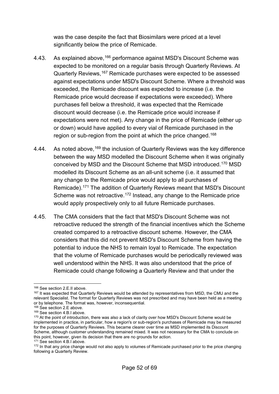was the case despite the fact that Biosimilars were priced at a level significantly below the price of Remicade.

- 4.43. As explained above, <sup>166</sup> performance against MSD's Discount Scheme was expected to be monitored on a regular basis through Quarterly Reviews. At Quarterly Reviews, <sup>[167](#page-51-1)</sup> Remicade purchases were expected to be assessed against expectations under MSD's Discount Scheme. Where a threshold was exceeded, the Remicade discount was expected to increase (i.e. the Remicade price would decrease if expectations were exceeded). Where purchases fell below a threshold, it was expected that the Remicade discount would decrease (i.e. the Remicade price would increase if expectations were not met). Any change in the price of Remicade (either up or down) would have applied to every vial of Remicade purchased in the region or sub-region from the point at which the price changed.<sup>[168](#page-51-2)</sup>
- 4.44. As noted above, <sup>[169](#page-51-3)</sup> the inclusion of Quarterly Reviews was the key difference between the way MSD modelled the Discount Scheme when it was originally conceived by MSD and the Discount Scheme that MSD introduced.[170](#page-51-4) MSD modelled its Discount Scheme as an all-unit scheme (i.e. it assumed that any change to the Remicade price would apply to all purchases of Remicade). [171](#page-51-5) The addition of Quarterly Reviews meant that MSD's Discount Scheme was not retroactive.<sup>[172](#page-51-6)</sup> Instead, any change to the Remicade price would apply prospectively only to all future Remicade purchases.
- 4.45. The CMA considers that the fact that MSD's Discount Scheme was not retroactive reduced the strength of the financial incentives which the Scheme created compared to a retroactive discount scheme. However, the CMA considers that this did not prevent MSD's Discount Scheme from having the potential to induce the NHS to remain loyal to Remicade. The expectation that the volume of Remicade purchases would be periodically reviewed was well understood within the NHS. It was also understood that the price of Remicade could change following a Quarterly Review and that under the

<sup>-</sup><sup>166</sup> See section [2](#page-8-0)[.E.](#page-21-0)[II](#page-26-1) above.

<span id="page-51-1"></span><span id="page-51-0"></span><sup>&</sup>lt;sup>167</sup> It was expected that Quarterly Reviews would be attended by representatives from MSD, the CMU and the relevant Specialist. The format for Quarterly Reviews was not prescribed and may have been held as a meeting or by telephone. The format was, however, inconsequential.

<span id="page-51-2"></span><sup>168</sup> See section [2](#page-8-0)[.E](#page-21-0) above.

<sup>169</sup> See section [4](#page-40-0)[.B.](#page-45-0)[I](#page-47-0) above.

<span id="page-51-4"></span><span id="page-51-3"></span><sup>170</sup> At the point of introduction, there was also a lack of clarity over how MSD's Discount Scheme would be implemented in practice, in particular, how a region's or sub-region's purchases of Remicade may be measured for the purposes of Quarterly Reviews. This became clearer over time as MSD implemented its Discount Scheme, although customer understanding remained mixed. It was not necessary for the CMA to conclude on this point, however, given its decision that there are no grounds for action. <sup>171</sup> See section [4](#page-40-0)[.B.](#page-45-0)[I](#page-47-0) above.

<span id="page-51-6"></span><span id="page-51-5"></span><sup>172</sup> In that any price change would not also apply to volumes of Remicade purchased prior to the price changing following a Quarterly Review.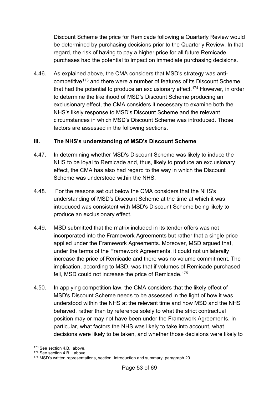Discount Scheme the price for Remicade following a Quarterly Review would be determined by purchasing decisions prior to the Quarterly Review. In that regard, the risk of having to pay a higher price for all future Remicade purchases had the potential to impact on immediate purchasing decisions.

4.46. As explained above, the CMA considers that MSD's strategy was anti-competitive<sup>[173](#page-52-1)</sup> and there were a number of features of its Discount Scheme that had the potential to produce an exclusionary effect.<sup>[174](#page-52-2)</sup> However, in order to determine the likelihood of MSD's Discount Scheme producing an exclusionary effect, the CMA considers it necessary to examine both the NHS's likely response to MSD's Discount Scheme and the relevant circumstances in which MSD's Discount Scheme was introduced. Those factors are assessed in the following sections.

#### <span id="page-52-0"></span>**III. The NHS's understanding of MSD's Discount Scheme**

- 4.47. In determining whether MSD's Discount Scheme was likely to induce the NHS to be loyal to Remicade and, thus, likely to produce an exclusionary effect, the CMA has also had regard to the way in which the Discount Scheme was understood within the NHS.
- 4.48. For the reasons set out below the CMA considers that the NHS's understanding of MSD's Discount Scheme at the time at which it was introduced was consistent with MSD's Discount Scheme being likely to produce an exclusionary effect.
- 4.49. MSD submitted that the matrix included in its tender offers was not incorporated into the Framework Agreements but rather that a single price applied under the Framework Agreements. Moreover, MSD argued that, under the terms of the Framework Agreements, it could not unilaterally increase the price of Remicade and there was no volume commitment. The implication, according to MSD, was that if volumes of Remicade purchased fell, MSD could not increase the price of Remicade. [175](#page-52-3)
- 4.50. In applying competition law, the CMA considers that the likely effect of MSD's Discount Scheme needs to be assessed in the light of how it was understood within the NHS at the relevant time and how MSD and the NHS behaved, rather than by reference solely to what the strict contractual position may or may not have been under the Framework Agreements. In particular, what factors the NHS was likely to take into account, what decisions were likely to be taken, and whether those decisions were likely to

<sup>&</sup>lt;u>.</u> 173 See section [4](#page-40-0)[.B.](#page-45-0)[I](#page-47-0) above.

<span id="page-52-2"></span><span id="page-52-1"></span><sup>174</sup> See section [4](#page-40-0)[.B.](#page-45-0)[II](#page-49-0) above.

<span id="page-52-3"></span><sup>&</sup>lt;sup>175</sup> MSD's written representations, section Introduction and summary, paragraph 20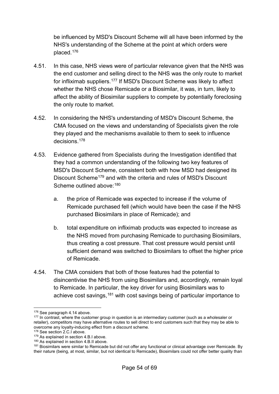be influenced by MSD's Discount Scheme will all have been informed by the NHS's understanding of the Scheme at the point at which orders were placed. [176](#page-53-0)

- 4.51. In this case, NHS views were of particular relevance given that the NHS was the end customer and selling direct to the NHS was the only route to market for infliximab suppliers.[177](#page-53-1) If MSD's Discount Scheme was likely to affect whether the NHS chose Remicade or a Biosimilar, it was, in turn, likely to affect the ability of Biosimilar suppliers to compete by potentially foreclosing the only route to market.
- 4.52. In considering the NHS's understanding of MSD's Discount Scheme, the CMA focused on the views and understanding of Specialists given the role they played and the mechanisms available to them to seek to influence decisions[.178](#page-53-2)
- 4.53. Evidence gathered from Specialists during the Investigation identified that they had a common understanding of the following two key features of MSD's Discount Scheme, consistent both with how MSD had designed its Discount Scheme<sup>[179](#page-53-3)</sup> and with the criteria and rules of MSD's Discount Scheme outlined above: [180](#page-53-4)
	- a. the price of Remicade was expected to increase if the volume of Remicade purchased fell (which would have been the case if the NHS purchased Biosimilars in place of Remicade); and
	- b. total expenditure on infliximab products was expected to increase as the NHS moved from purchasing Remicade to purchasing Biosimilars, thus creating a cost pressure. That cost pressure would persist until sufficient demand was switched to Biosimilars to offset the higher price of Remicade.
- 4.54. The CMA considers that both of those features had the potential to disincentivise the NHS from using Biosimilars and, accordingly, remain loyal to Remicade. In particular, the key driver for using Biosimilars was to achieve cost savings,<sup>[181](#page-53-5)</sup> with cost savings being of particular importance to

<span id="page-53-2"></span>178 See section [2](#page-8-0)[.C](#page-16-0)[.I](#page-17-0) above.

176 See paragrap[h 4.14](#page-44-6) above.

<span id="page-53-1"></span><span id="page-53-0"></span><sup>&</sup>lt;sup>177</sup> In contrast, where the customer group in question is an intermediary customer (such as a wholesaler or retailer), competitors may have alternative routes to sell direct to end customers such that they may be able to overcome any loyalty-inducing effect from a discount scheme.

<sup>179</sup> As explained in section [4](#page-40-0)[.B.](#page-45-0)[I](#page-47-0) above.

<span id="page-53-4"></span><span id="page-53-3"></span><sup>&</sup>lt;sup>180</sup> As explained in section [4](#page-40-0)[.B.](#page-45-0)[II](#page-49-0) above.

<span id="page-53-5"></span><sup>&</sup>lt;sup>181</sup> Biosimilars were similar to Remicade but did not offer any functional or clinical advantage over Remicade. By their nature (being, at most, similar, but not identical to Remicade), Biosimilars could not offer better quality than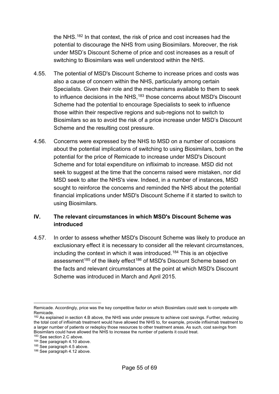the NHS.[182](#page-54-1) In that context, the risk of price and cost increases had the potential to discourage the NHS from using Biosimilars. Moreover, the risk under MSD's Discount Scheme of price and cost increases as a result of switching to Biosimilars was well understood within the NHS.

- 4.55. The potential of MSD's Discount Scheme to increase prices and costs was also a cause of concern within the NHS, particularly among certain Specialists. Given their role and the mechanisms available to them to seek to influence decisions in the NHS,<sup>183</sup> those concerns about MSD's Discount Scheme had the potential to encourage Specialists to seek to influence those within their respective regions and sub-regions not to switch to Biosimilars so as to avoid the risk of a price increase under MSD's Discount Scheme and the resulting cost pressure.
- 4.56. Concerns were expressed by the NHS to MSD on a number of occasions about the potential implications of switching to using Biosimilars, both on the potential for the price of Remicade to increase under MSD's Discount Scheme and for total expenditure on infliximab to increase. MSD did not seek to suggest at the time that the concerns raised were mistaken, nor did MSD seek to alter the NHS's view. Indeed, in a number of instances, MSD sought to reinforce the concerns and reminded the NHS about the potential financial implications under MSD's Discount Scheme if it started to switch to using Biosimilars.

## <span id="page-54-0"></span>**IV. The relevant circumstances in which MSD's Discount Scheme was introduced**

4.57. In order to assess whether MSD's Discount Scheme was likely to produce an exclusionary effect it is necessary to consider all the relevant circumstances, including the context in which it was introduced.<sup>[184](#page-54-3)</sup> This is an objective assessment<sup>[185](#page-54-4)</sup> of the likely effect<sup>[186](#page-54-5)</sup> of MSD's Discount Scheme based on the facts and relevant circumstances at the point at which MSD's Discount Scheme was introduced in March and April 2015.

<sup>&</sup>lt;u>.</u> Remicade. Accordingly, price was the key competitive factor on which Biosimilars could seek to compete with Remicade.

<span id="page-54-1"></span><sup>182</sup> As explained in section [4](#page-40-0)[.B](#page-45-0) above, the NHS was under pressure to achieve cost savings. Further, reducing the total cost of infliximab treatment would have allowed the NHS to, for example, provide infliximab treatment to a larger number of patients or redeploy those resources to other treatment areas. As such, cost savings from Biosimilars could have allowed the NHS to increase the number of patients it could treat.

<span id="page-54-2"></span> $183$  See section [2](#page-8-0)[.C](#page-16-0) above.<br> $184$  See paragraph 4.10 above.

<span id="page-54-4"></span><span id="page-54-3"></span> $185$  See paragrap[h 4.5](#page-41-7) above.

<span id="page-54-5"></span><sup>186</sup> See paragrap[h 4.12](#page-42-1) above.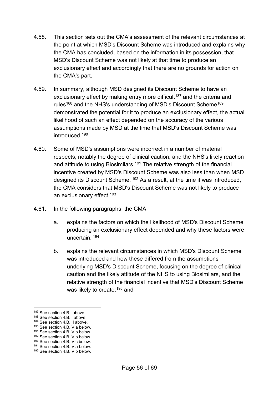- 4.58. This section sets out the CMA's assessment of the relevant circumstances at the point at which MSD's Discount Scheme was introduced and explains why the CMA has concluded, based on the information in its possession, that MSD's Discount Scheme was not likely at that time to produce an exclusionary effect and accordingly that there are no grounds for action on the CMA's part.
- 4.59. In summary, although MSD designed its Discount Scheme to have an exclusionary effect by making entry more difficult<sup>[187](#page-55-0)</sup> and the criteria and rules<sup>[188](#page-55-1)</sup> and the NHS's understanding of MSD's Discount Scheme<sup>[189](#page-55-2)</sup> demonstrated the potential for it to produce an exclusionary effect, the actual likelihood of such an effect depended on the accuracy of the various assumptions made by MSD at the time that MSD's Discount Scheme was introduced[.190](#page-55-3)
- 4.60. Some of MSD's assumptions were incorrect in a number of material respects, notably the degree of clinical caution, and the NHS's likely reaction and attitude to using Biosimilars.<sup>[191](#page-55-4)</sup> The relative strength of the financial incentive created by MSD's Discount Scheme was also less than when MSD designed its Discount Scheme. [192](#page-55-5) As a result, at the time it was introduced, the CMA considers that MSD's Discount Scheme was not likely to produce an exclusionary effect.<sup>193</sup>
- 4.61. In the following paragraphs, the CMA:
	- a. explains the factors on which the likelihood of MSD's Discount Scheme producing an exclusionary effect depended and why these factors were uncertain; [194](#page-55-7)
	- b. explains the relevant circumstances in which MSD's Discount Scheme was introduced and how these differed from the assumptions underlying MSD's Discount Scheme, focusing on the degree of clinical caution and the likely attitude of the NHS to using Biosimilars, and the relative strength of the financial incentive that MSD's Discount Scheme was likely to create;<sup>[195](#page-55-8)</sup> and

-

<span id="page-55-0"></span><sup>187</sup> See section [4](#page-40-0)[.B.](#page-45-0)[I](#page-47-0) above.

<span id="page-55-1"></span> $188$  See section [4](#page-40-0)[.B.](#page-45-0)[II](#page-49-0) above.<br> $189$  See section 4.B.III above.

<span id="page-55-3"></span><span id="page-55-2"></span> $190$  See section [4](#page-40-0)[.B.](#page-45-0)[IV.](#page-54-0)a below.

<span id="page-55-4"></span><sup>191</sup> See section [4](#page-40-0)[.B.](#page-45-0)[IV](#page-54-0)[.b](#page-57-0) below.

<span id="page-55-5"></span><sup>192</sup> See section [4](#page-40-0)[.B.](#page-45-0)[IV](#page-54-0)[.b](#page-57-0) below.

<span id="page-55-6"></span><sup>193</sup> See section [4](#page-40-0)[.B.](#page-45-0)[IV](#page-54-0)[.c](#page-60-1) below.

<span id="page-55-7"></span><sup>194</sup> See section [4](#page-40-0)[.B.](#page-45-0)[IV](#page-54-0)[.a](#page-56-0) below.

<span id="page-55-8"></span><sup>195</sup> See section [4](#page-40-0)[.B.](#page-45-0)[IV](#page-54-0)[.b](#page-57-0) below.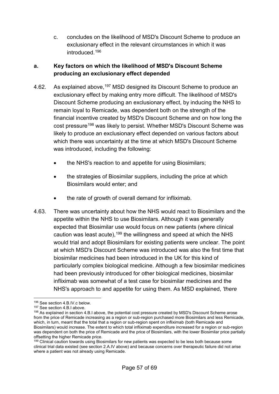c. concludes on the likelihood of MSD's Discount Scheme to produce an exclusionary effect in the relevant circumstances in which it was introduced.[196](#page-56-1)

## <span id="page-56-0"></span>**a. Key factors on which the likelihood of MSD's Discount Scheme producing an exclusionary effect depended**

- 4.62. As explained above, <sup>[197](#page-56-2)</sup> MSD designed its Discount Scheme to produce an exclusionary effect by making entry more difficult. The likelihood of MSD's Discount Scheme producing an exclusionary effect, by inducing the NHS to remain loyal to Remicade, was dependent both on the strength of the financial incentive created by MSD's Discount Scheme and on how long the cost pressure<sup>[198](#page-56-3)</sup> was likely to persist. Whether MSD's Discount Scheme was likely to produce an exclusionary effect depended on various factors about which there was uncertainty at the time at which MSD's Discount Scheme was introduced, including the following:
	- the NHS's reaction to and appetite for using Biosimilars;
	- the strategies of Biosimilar suppliers, including the price at which Biosimilars would enter; and
	- the rate of growth of overall demand for infliximab.
- 4.63. There was uncertainty about how the NHS would react to Biosimilars and the appetite within the NHS to use Biosimilars. Although it was generally expected that Biosimilar use would focus on new patients (where clinical caution was least acute),<sup>[199](#page-56-4)</sup> the willingness and speed at which the NHS would trial and adopt Biosimilars for existing patients were unclear. The point at which MSD's Discount Scheme was introduced was also the first time that biosimilar medicines had been introduced in the UK for this kind of particularly complex biological medicine. Although a few biosimilar medicines had been previously introduced for other biological medicines, biosimilar infliximab was somewhat of a test case for biosimilar medicines and the NHS's approach to and appetite for using them. As MSD explained, *'there*

<sup>-</sup><sup>196</sup> See section [4](#page-40-0)[.B.](#page-45-0)[IV](#page-54-0)[.c](#page-60-1) below.

<span id="page-56-1"></span><sup>197</sup> See section [4](#page-40-0)[.B.](#page-45-0)[I](#page-47-0) above.

<span id="page-56-3"></span><span id="page-56-2"></span><sup>&</sup>lt;sup>198</sup> As explained in section [4](#page-40-0)[.B.](#page-45-0)[I](#page-47-0) above, the potential cost pressure created by MSD's Discount Scheme arose from the price of Remicade increasing as a region or sub-region purchased more Biosimilars and less Remicade, which, in turn, meant that the total that a region or sub-region spent on infliximab (both Remicade and Biosimilars) would increase. The extent to which total infliximab expenditure increased for a region or sub-region was dependent on both the price of Remicade and the price of Biosimilars, with the lower Biosimilar price partially offsetting the higher Remicade price.

<span id="page-56-4"></span><sup>&</sup>lt;sup>199</sup> Clinical caution towards using Biosimilars for new patients was expected to be less both because some clinical trial data existed (see sectio[n 2.](#page-8-0)[A](#page-8-1)[.IV](#page-11-0) above) and because concerns over therapeutic failure did not arise where a patient was not already using Remicade.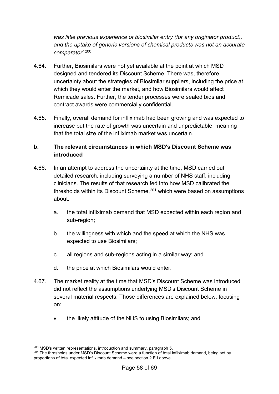*was little previous experience of biosimilar entry (for any originator product), and the uptake of generic versions of chemical products was not an accurate comparator'*. [200](#page-57-1)

- 4.64. Further, Biosimilars were not yet available at the point at which MSD designed and tendered its Discount Scheme. There was, therefore, uncertainty about the strategies of Biosimilar suppliers, including the price at which they would enter the market, and how Biosimilars would affect Remicade sales. Further, the tender processes were sealed bids and contract awards were commercially confidential.
- 4.65. Finally, overall demand for infliximab had been growing and was expected to increase but the rate of growth was uncertain and unpredictable, meaning that the total size of the infliximab market was uncertain.

## <span id="page-57-0"></span>**b. The relevant circumstances in which MSD's Discount Scheme was introduced**

- 4.66. In an attempt to address the uncertainty at the time, MSD carried out detailed research, including surveying a number of NHS staff, including clinicians. The results of that research fed into how MSD calibrated the thresholds within its Discount Scheme,  $201$  which were based on assumptions about:
	- a. the total infliximab demand that MSD expected within each region and sub-region;
	- b. the willingness with which and the speed at which the NHS was expected to use Biosimilars;
	- c. all regions and sub-regions acting in a similar way; and
	- d. the price at which Biosimilars would enter.
- 4.67. The market reality at the time that MSD's Discount Scheme was introduced did not reflect the assumptions underlying MSD's Discount Scheme in several material respects. Those differences are explained below, focusing on:
	- the likely attitude of the NHS to using Biosimilars; and

<sup>&</sup>lt;u>.</u>  $^{200}$  MSD's written representations, introduction and summary, paragraph 5.

<span id="page-57-2"></span><span id="page-57-1"></span><sup>&</sup>lt;sup>201</sup> The thresholds under MSD's Discount Scheme were a function of total infliximab demand, being set by proportions of total expected infliximab demand – see sectio[n 2](#page-8-0)[.E](#page-21-0)[.I](#page-22-1) above.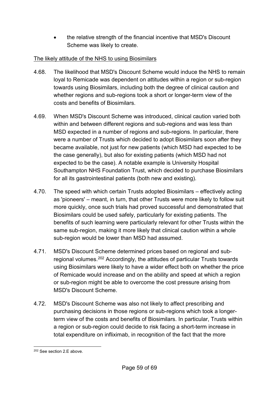• the relative strength of the financial incentive that MSD's Discount Scheme was likely to create.

## The likely attitude of the NHS to using Biosimilars

- 4.68. The likelihood that MSD's Discount Scheme would induce the NHS to remain loyal to Remicade was dependent on attitudes within a region or sub-region towards using Biosimilars, including both the degree of clinical caution and whether regions and sub-regions took a short or longer-term view of the costs and benefits of Biosimilars.
- 4.69. When MSD's Discount Scheme was introduced, clinical caution varied both within and between different regions and sub-regions and was less than MSD expected in a number of regions and sub-regions. In particular, there were a number of Trusts which decided to adopt Biosimilars soon after they became available, not just for new patients (which MSD had expected to be the case generally), but also for existing patients (which MSD had not expected to be the case). A notable example is University Hospital Southampton NHS Foundation Trust, which decided to purchase Biosimilars for all its gastrointestinal patients (both new and existing).
- 4.70. The speed with which certain Trusts adopted Biosimilars effectively acting as 'pioneers' – meant, in turn, that other Trusts were more likely to follow suit more quickly, once such trials had proved successful and demonstrated that Biosimilars could be used safely, particularly for existing patients. The benefits of such learning were particularly relevant for other Trusts within the same sub-region, making it more likely that clinical caution within a whole sub-region would be lower than MSD had assumed.
- 4.71. MSD's Discount Scheme determined prices based on regional and subregional volumes.[202](#page-58-0) Accordingly, the attitudes of particular Trusts towards using Biosimilars were likely to have a wider effect both on whether the price of Remicade would increase and on the ability and speed at which a region or sub-region might be able to overcome the cost pressure arising from MSD's Discount Scheme.
- 4.72. MSD's Discount Scheme was also not likely to affect prescribing and purchasing decisions in those regions or sub-regions which took a longerterm view of the costs and benefits of Biosimilars. In particular, Trusts within a region or sub-region could decide to risk facing a short-term increase in total expenditure on infliximab, in recognition of the fact that the more

<span id="page-58-0"></span><sup>-</sup><sup>202</sup> See section [2](#page-8-0)[.E](#page-21-0) above.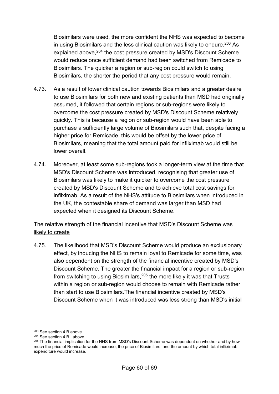Biosimilars were used, the more confident the NHS was expected to become in using Biosimilars and the less clinical caution was likely to endure.<sup>203</sup> As explained above,<sup>[204](#page-59-1)</sup> the cost pressure created by MSD's Discount Scheme would reduce once sufficient demand had been switched from Remicade to Biosimilars. The quicker a region or sub-region could switch to using Biosimilars, the shorter the period that any cost pressure would remain.

- 4.73. As a result of lower clinical caution towards Biosimilars and a greater desire to use Biosimilars for both new and existing patients than MSD had originally assumed, it followed that certain regions or sub-regions were likely to overcome the cost pressure created by MSD's Discount Scheme relatively quickly. This is because a region or sub-region would have been able to purchase a sufficiently large volume of Biosimilars such that, despite facing a higher price for Remicade, this would be offset by the lower price of Biosimilars, meaning that the total amount paid for infliximab would still be lower overall.
- 4.74. Moreover, at least some sub-regions took a longer-term view at the time that MSD's Discount Scheme was introduced, recognising that greater use of Biosimilars was likely to make it quicker to overcome the cost pressure created by MSD's Discount Scheme and to achieve total cost savings for infliximab. As a result of the NHS's attitude to Biosimilars when introduced in the UK, the contestable share of demand was larger than MSD had expected when it designed its Discount Scheme.

## The relative strength of the financial incentive that MSD's Discount Scheme was likely to create

4.75. The likelihood that MSD's Discount Scheme would produce an exclusionary effect, by inducing the NHS to remain loyal to Remicade for some time, was also dependent on the strength of the financial incentive created by MSD's Discount Scheme. The greater the financial impact for a region or sub-region from switching to using Biosimilars, <sup>[205](#page-59-2)</sup> the more likely it was that Trusts within a region or sub-region would choose to remain with Remicade rather than start to use Biosimilars.The financial incentive created by MSD's Discount Scheme when it was introduced was less strong than MSD's initial

<sup>-</sup><sup>203</sup> See section [4](#page-40-0)[.B](#page-45-0) above.

<span id="page-59-1"></span><span id="page-59-0"></span><sup>204</sup> See section [4](#page-40-0)[.B.](#page-45-0)[I](#page-47-0) above.

<span id="page-59-2"></span> $205$  The financial implication for the NHS from MSD's Discount Scheme was dependent on whether and by how much the price of Remicade would increase, the price of Biosimilars, and the amount by which total infliximab expenditure would increase.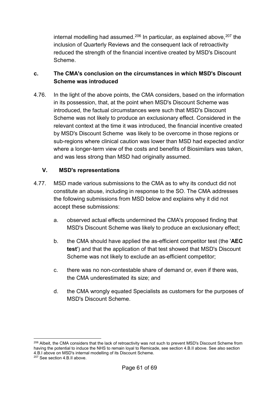internal modelling had assumed.<sup>[206](#page-60-2)</sup> In particular, as explained above, $207$  the inclusion of Quarterly Reviews and the consequent lack of retroactivity reduced the strength of the financial incentive created by MSD's Discount Scheme.

## <span id="page-60-1"></span>**c. The CMA's conclusion on the circumstances in which MSD's Discount Scheme was introduced**

4.76. In the light of the above points, the CMA considers, based on the information in its possession, that, at the point when MSD's Discount Scheme was introduced, the factual circumstances were such that MSD's Discount Scheme was not likely to produce an exclusionary effect. Considered in the relevant context at the time it was introduced, the financial incentive created by MSD's Discount Scheme was likely to be overcome in those regions or sub-regions where clinical caution was lower than MSD had expected and/or where a longer-term view of the costs and benefits of Biosimilars was taken, and was less strong than MSD had originally assumed.

#### <span id="page-60-0"></span>**V. MSD's representations**

- 4.77. MSD made various submissions to the CMA as to why its conduct did not constitute an abuse, including in response to the SO. The CMA addresses the following submissions from MSD below and explains why it did not accept these submissions:
	- a. observed actual effects undermined the CMA's proposed finding that MSD's Discount Scheme was likely to produce an exclusionary effect;
	- b. the CMA should have applied the as-efficient competitor test (the '**AEC test**') and that the application of that test showed that MSD's Discount Scheme was not likely to exclude an as-efficient competitor;
	- c. there was no non-contestable share of demand or, even if there was, the CMA underestimated its size; and
	- d. the CMA wrongly equated Specialists as customers for the purposes of MSD's Discount Scheme.

<span id="page-60-3"></span><span id="page-60-2"></span><sup>-</sup><sup>206</sup> Albeit, the CMA considers that the lack of retroactivity was not such to prevent MSD's Discount Scheme from having the potential to induce the NHS to remain loyal to Remicade, see sectio[n 4.](#page-40-0)[B](#page-45-0)[.II](#page-49-0) above. See also section [4](#page-40-0)[.B.](#page-45-0)[I](#page-47-0) above on MSD's internal modelling of its Discount Scheme. <sup>207</sup> See section [4](#page-40-0)[.B.](#page-45-0)[II](#page-49-0) above.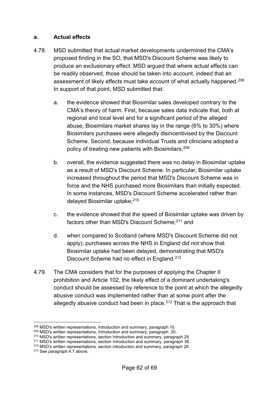#### **a. Actual effects**

- 4.78. MSD submitted that actual market developments undermined the CMA's proposed finding in the SO, that MSD's Discount Scheme was likely to produce an exclusionary effect. MSD argued that where actual effects can be readily observed, those should be taken into account, indeed that an assessment of likely effects must take account of what actually happened.<sup>[208](#page-61-0)</sup> In support of that point, MSD submitted that:
	- a. the evidence showed that Biosimilar sales developed contrary to the CMA's theory of harm. First, because sales data indicate that, both at regional and local level and for a significant period of the alleged abuse, Biosimilars market shares lay in the range (6% to 30%) where Biosimilars purchases were allegedly disincentivised by the Discount Scheme. Second, because individual Trusts and clinicians adopted a policy of treating new patients with Biosimilars; [209](#page-61-1)
	- b. overall, the evidence suggested there was no delay in Biosimilar uptake as a result of MSD's Discount Scheme. In particular, Biosimilar uptake increased throughout the period that MSD's Discount Scheme was in force and the NHS purchased more Biosimilars than initially expected. In some instances, MSD's Discount Scheme accelerated rather than delayed Biosimilar uptake; [210](#page-61-2)
	- c. the evidence showed that the speed of Biosimilar uptake was driven by factors other than MSD's Discount Scheme;<sup>[211](#page-61-3)</sup> and
	- d. when compared to Scotland (where MSD's Discount Scheme did not apply), purchases across the NHS in England did not show that Biosimilar uptake had been delayed, demonstrating that MSD's Discount Scheme had no effect in England. [212](#page-61-4)
- 4.79. The CMA considers that for the purposes of applying the Chapter II prohibition and Article 102, the likely effect of a dominant undertaking's conduct should be assessed by reference to the point at which the allegedly abusive conduct was implemented rather than at some point after the allegedly abusive conduct had been in place. $213$  That is the approach that

<span id="page-61-0"></span><sup>&</sup>lt;sup>208</sup> MSD's written representations, Introduction and summary, paragraph 10.

<span id="page-61-2"></span><span id="page-61-1"></span>

<sup>&</sup>lt;sup>209</sup> MSD's written representations, Introduction and summary, paragraph 20.<br><sup>210</sup> MSD's written representations, section Introduction and summary, paragraph 29

<span id="page-61-3"></span><sup>211</sup> MSD's written representations, section Introduction and summary, paragraph 38

<span id="page-61-4"></span><sup>&</sup>lt;sup>212</sup> MSD's written representations, section introduction and summary, paragraph 28

<span id="page-61-5"></span><sup>213</sup> See paragraph [4.7](#page-41-8) above.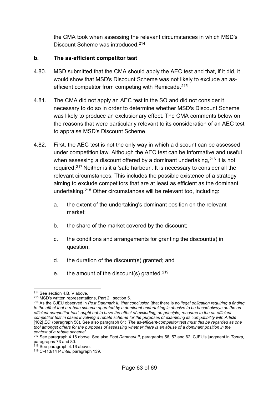the CMA took when assessing the relevant circumstances in which MSD's Discount Scheme was introduced.[214](#page-62-0)

#### **b. The as-efficient competitor test**

- 4.80. MSD submitted that the CMA should apply the AEC test and that, if it did, it would show that MSD's Discount Scheme was not likely to exclude an as-efficient competitor from competing with Remicade.<sup>[215](#page-62-1)</sup>
- 4.81. The CMA did not apply an AEC test in the SO and did not consider it necessary to do so in order to determine whether MSD's Discount Scheme was likely to produce an exclusionary effect. The CMA comments below on the reasons that were particularly relevant to its consideration of an AEC test to appraise MSD's Discount Scheme.
- 4.82. First, the AEC test is not the only way in which a discount can be assessed under competition law. Although the AEC test can be informative and useful when assessing a discount offered by a dominant undertaking, [216](#page-62-2) it is not required. [217](#page-62-3) Neither is it a 'safe harbour'. It is necessary to consider all the relevant circumstances. This includes the possible existence of a strategy aiming to exclude competitors that are at least as efficient as the dominant undertaking.[218](#page-62-4) Other circumstances will be relevant too, including:
	- a. the extent of the undertaking's dominant position on the relevant market;
	- b. the share of the market covered by the discount;
	- c. the conditions and arrangements for granting the discount(s) in question;
	- d. the duration of the discount(s) granted; and
	- e. the amount of the discount(s) granted.<sup>[219](#page-62-5)</sup>

<sup>-</sup><sup>214</sup> See section [4](#page-40-0)[.B.](#page-45-0)[IV](#page-54-0) above.

<span id="page-62-2"></span><span id="page-62-1"></span><span id="page-62-0"></span><sup>&</sup>lt;sup>215</sup> MSD's written representations, Part 2, section 5.<br><sup>216</sup> As the CJEU observed in *Post Danmark II, 'that conclusion* [that there is no *'legal obligation requiring a finding to the effect that a rebate scheme operated by a dominant undertaking is abusive to be based always on the asefficient-competitor test'*] *ought not to have the effect of excluding, on principle, recourse to the as-efficient competitor test in cases involving a rebate scheme for the purposes of examining its compatibility with Article*  [102] *EC'* (paragraph 58). See also paragraph 61: *'The as-efficient-competitor test must this be regarded as one tool amongst others for the purposes of assessing whether there is an abuse of a dominant position in the* 

<span id="page-62-3"></span>*context of a rebate scheme'.*<br><sup>217</sup> See paragrap[h 4.16](#page-44-7) above. See also *Post Danmark II*, paragraphs 56, 57 and 62; CJEU's judgment in *Tomra*, paragraphs 73 and 80.

<sup>&</sup>lt;sup>218</sup> See paragrap[h 4.16](#page-44-7) above.

<span id="page-62-5"></span><span id="page-62-4"></span><sup>219</sup> C-413/14 P *Intel,* paragraph 139.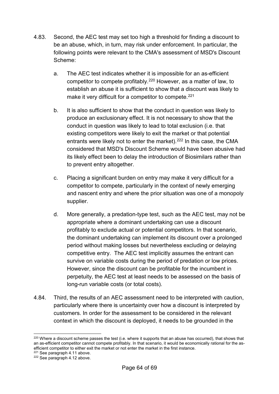- 4.83. Second, the AEC test may set too high a threshold for finding a discount to be an abuse, which, in turn, may risk under enforcement. In particular, the following points were relevant to the CMA's assessment of MSD's Discount Scheme:
	- a. The AEC test indicates whether it is impossible for an as-efficient competitor to compete profitably. [220](#page-63-0) However, as a matter of law, to establish an abuse it is sufficient to show that a discount was likely to make it very difficult for a competitor to compete. [221](#page-63-1)
	- b. It is also sufficient to show that the conduct in question was likely to produce an exclusionary effect. It is not necessary to show that the conduct in question was likely to lead to total exclusion (i.e. that existing competitors were likely to exit the market or that potential entrants were likely not to enter the market).<sup>[222](#page-63-2)</sup> In this case, the CMA considered that MSD's Discount Scheme would have been abusive had its likely effect been to delay the introduction of Biosimilars rather than to prevent entry altogether.
	- c. Placing a significant burden on entry may make it very difficult for a competitor to compete, particularly in the context of newly emerging and nascent entry and where the prior situation was one of a monopoly supplier.
	- d. More generally, a predation-type test, such as the AEC test, may not be appropriate where a dominant undertaking can use a discount profitably to exclude actual or potential competitors. In that scenario, the dominant undertaking can implement its discount over a prolonged period without making losses but nevertheless excluding or delaying competitive entry. The AEC test implicitly assumes the entrant can survive on variable costs during the period of predation or low prices. However, since the discount can be profitable for the incumbent in perpetuity, the AEC test at least needs to be assessed on the basis of long-run variable costs (or total costs).
- 4.84. Third, the results of an AEC assessment need to be interpreted with caution, particularly where there is uncertainty over how a discount is interpreted by customers. In order for the assessment to be considered in the relevant context in which the discount is deployed, it needs to be grounded in the

<span id="page-63-0"></span><sup>&</sup>lt;u>.</u> <sup>220</sup> Where a discount scheme passes the test (i.e. where it supports that an abuse has occurred), that shows that an as-efficient competitor cannot compete profitably. In that scenario, it would be economically rational for the asefficient competitor to either exit the market or not enter the market in the first instance.

<span id="page-63-1"></span><sup>&</sup>lt;sup>221</sup> See paragrap[h 4.11](#page-42-0) above.

<span id="page-63-2"></span><sup>222</sup> See paragraph [4.12](#page-42-1) above.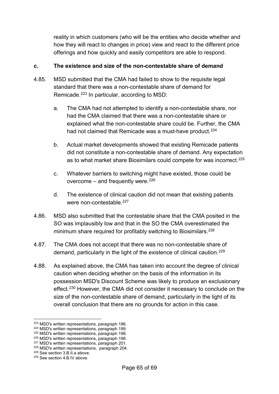reality in which customers (who will be the entities who decide whether and how they will react to changes in price) view and react to the different price offerings and how quickly and easily competitors are able to respond.

#### **c. The existence and size of the non-contestable share of demand**

- 4.85. MSD submitted that the CMA had failed to show to the requisite legal standard that there was a non-contestable share of demand for Remicade[.223](#page-64-0) In particular, according to MSD:
	- a. The CMA had not attempted to identify a non-contestable share, nor had the CMA claimed that there was a non-contestable share or explained what the non-contestable share could be. Further, the CMA had not claimed that Remicade was a must-have product.<sup>[224](#page-64-1)</sup>
	- b. Actual market developments showed that existing Remicade patients did not constitute a non-contestable share of demand. Any expectation as to what market share Biosimilars could compete for was incorrect.<sup>[225](#page-64-2)</sup>
	- c. Whatever barriers to switching might have existed, those could be overcome  $-$  and frequently were.<sup>[226](#page-64-3)</sup>
	- d. The existence of clinical caution did not mean that existing patients were non-contestable.<sup>227</sup>
- 4.86. MSD also submitted that the contestable share that the CMA posited in the SO was implausibly low and that in the SO the CMA overestimated the minimum share required for profitably switching to Biosimilars.<sup>228</sup>
- 4.87. The CMA does not accept that there was no non-contestable share of demand, particularly in the light of the existence of clinical caution.[229](#page-64-6)
- 4.88. As explained above, the CMA has taken into account the degree of clinical caution when deciding whether on the basis of the information in its possession MSD's Discount Scheme was likely to produce an exclusionary effect. [230](#page-64-7) However, the CMA did not consider it necessary to conclude on the size of the non-contestable share of demand, particularly in the light of its overall conclusion that there are no grounds for action in this case.

<u>.</u>

<span id="page-64-1"></span><span id="page-64-0"></span><sup>&</sup>lt;sup>223</sup> MSD's written re[pres](#page-37-6)entations, paragraph 196.<br><sup>224</sup> MSD's written representations, paragraph 199.<br><sup>225</sup> MSD's written representations, paragraph 198.<br><sup>226</sup> MSD's written representations, paragraph 198.<br><sup>227</sup> MSD's w

<span id="page-64-2"></span>

<span id="page-64-3"></span>

<span id="page-64-4"></span>

<span id="page-64-5"></span>

<span id="page-64-7"></span><span id="page-64-6"></span><sup>230</sup> See section [4](#page-40-0)[.B.](#page-45-0)[IV](#page-54-0) above.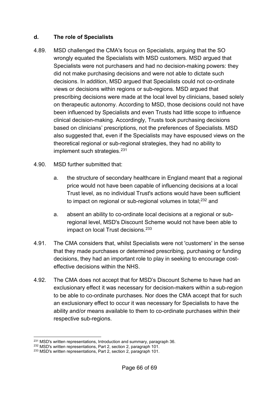#### **d. The role of Specialists**

- 4.89. MSD challenged the CMA's focus on Specialists, arguing that the SO wrongly equated the Specialists with MSD customers. MSD argued that Specialists were not purchasers and had no decision-making powers: they did not make purchasing decisions and were not able to dictate such decisions. In addition, MSD argued that Specialists could not co-ordinate views or decisions within regions or sub-regions. MSD argued that prescribing decisions were made at the local level by clinicians, based solely on therapeutic autonomy. According to MSD, those decisions could not have been influenced by Specialists and even Trusts had little scope to influence clinical decision-making. Accordingly, Trusts took purchasing decisions based on clinicians' prescriptions, not the preferences of Specialists. MSD also suggested that, even if the Specialists may have espoused views on the theoretical regional or sub-regional strategies, they had no ability to implement such strategies.<sup>[231](#page-65-0)</sup>
- 4.90. MSD further submitted that:
	- a. the structure of secondary healthcare in England meant that a regional price would not have been capable of influencing decisions at a local Trust level, as no individual Trust's actions would have been sufficient to impact on regional or sub-regional volumes in total; $^{232}$  $^{232}$  $^{232}$  and
	- a. absent an ability to co-ordinate local decisions at a regional or subregional level, MSD's Discount Scheme would not have been able to impact on local Trust decisions.<sup>[233](#page-65-2)</sup>
- 4.91. The CMA considers that, whilst Specialists were not 'customers' in the sense that they made purchases or determined prescribing, purchasing or funding decisions, they had an important role to play in seeking to encourage costeffective decisions within the NHS.
- 4.92. The CMA does not accept that for MSD's Discount Scheme to have had an exclusionary effect it was necessary for decision-makers within a sub-region to be able to co-ordinate purchases. Nor does the CMA accept that for such an exclusionary effect to occur it was necessary for Specialists to have the ability and/or means available to them to co-ordinate purchases within their respective sub-regions.

<span id="page-65-0"></span><sup>&</sup>lt;sup>231</sup> MSD's written representations, Introduction and summary, paragraph 36.

<span id="page-65-1"></span><sup>&</sup>lt;sup>232</sup> MSD's written representations, Part 2, section 2, paragraph 101.

<span id="page-65-2"></span><sup>233</sup> MSD's written representations, Part 2, section 2, paragraph 101.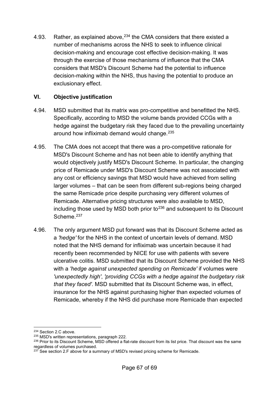4.93. Rather, as explained above,  $234$  the CMA considers that there existed a number of mechanisms across the NHS to seek to influence clinical decision-making and encourage cost effective decision-making. It was through the exercise of those mechanisms of influence that the CMA considers that MSD's Discount Scheme had the potential to influence decision-making within the NHS, thus having the potential to produce an exclusionary effect.

#### <span id="page-66-0"></span>**VI. Objective justification**

- 4.94. MSD submitted that its matrix was pro-competitive and benefitted the NHS. Specifically, according to MSD the volume bands provided CCGs with a hedge against the budgetary risk they faced due to the prevailing uncertainty around how infliximab demand would change. [235](#page-66-2)
- 4.95. The CMA does not accept that there was a pro-competitive rationale for MSD's Discount Scheme and has not been able to identify anything that would objectively justify MSD's Discount Scheme. In particular, the changing price of Remicade under MSD's Discount Scheme was not associated with any cost or efficiency savings that MSD would have achieved from selling larger volumes – that can be seen from different sub-regions being charged the same Remicade price despite purchasing very different volumes of Remicade. Alternative pricing structures were also available to MSD, including those used by MSD both prior to<sup>[236](#page-66-3)</sup> and subsequent to its Discount Scheme.<sup>237</sup>
- 4.96. The only argument MSD put forward was that its Discount Scheme acted as a *'hedge'* for the NHS in the context of uncertain levels of demand. MSD noted that the NHS demand for infliximab was uncertain because it had recently been recommended by NICE for use with patients with severe ulcerative colitis. MSD submitted that its Discount Scheme provided the NHS with a *'hedge against unexpected spending on Remicade'* if volumes were *'unexpectedly high'*, *'providing CCGs with a hedge against the budgetary risk that they faced'*. MSD submitted that its Discount Scheme was, in effect, insurance for the NHS against purchasing higher than expected volumes of Remicade, whereby if the NHS did purchase more Remicade than expected

<sup>-</sup><sup>234</sup> Section [2](#page-8-0)[.C](#page-16-0) above.

<span id="page-66-2"></span><span id="page-66-1"></span><sup>235</sup> MSD's written representations, paragraph 222.

<span id="page-66-3"></span><sup>&</sup>lt;sup>236</sup> Prior to its Discount Scheme, MSD offered a flat-rate discount from its list price. That discount was the same regardless of volumes purchased.

<span id="page-66-4"></span> $237$  See section [2](#page-8-0)[.F](#page-26-0) above for a summary of MSD's revised pricing scheme for Remicade.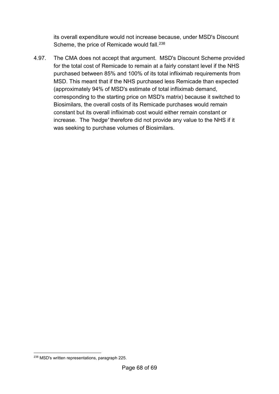its overall expenditure would not increase because, under MSD's Discount Scheme, the price of Remicade would fall.<sup>238</sup>

4.97. The CMA does not accept that argument. MSD's Discount Scheme provided for the total cost of Remicade to remain at a fairly constant level if the NHS purchased between 85% and 100% of its total infliximab requirements from MSD. This meant that if the NHS purchased less Remicade than expected (approximately 94% of MSD's estimate of total infliximab demand, corresponding to the starting price on MSD's matrix) because it switched to Biosimilars, the overall costs of its Remicade purchases would remain constant but its overall infliximab cost would either remain constant or increase. The *'hedge'* therefore did not provide any value to the NHS if it was seeking to purchase volumes of Biosimilars.

<span id="page-67-0"></span><sup>-</sup><sup>238</sup> MSD's written representations, paragraph 225.